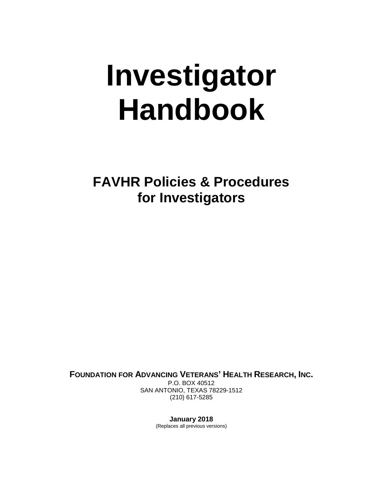# **Investigator Handbook**

**FAVHR Policies & Procedures for Investigators**

**FOUNDATION FOR ADVANCING VETERANS' HEALTH RESEARCH, INC.** 

P.O. BOX 40512 SAN ANTONIO, TEXAS 78229-1512 (210) 617-5285

> **January 2018** (Replaces all previous versions)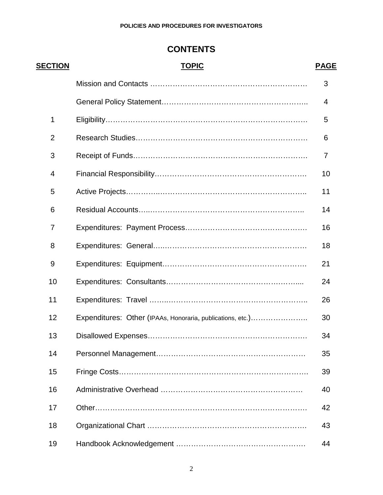## **CONTENTS**

| <b>SECTION</b> | <b>TOPIC</b>                                               | <b>PAGE</b> |
|----------------|------------------------------------------------------------|-------------|
|                |                                                            | 3           |
|                |                                                            | 4           |
| 1              |                                                            | 5           |
| $\overline{2}$ |                                                            | 6           |
| 3              |                                                            | 7           |
| 4              |                                                            | 10          |
| 5              |                                                            | 11          |
| 6              |                                                            | 14          |
| $\overline{7}$ |                                                            | 16          |
| 8              |                                                            | 18          |
| 9              |                                                            | 21          |
| 10             |                                                            | 24          |
| 11             |                                                            | 26          |
| 12             | Expenditures: Other (IPAAs, Honoraria, publications, etc.) | 30          |
| 13             |                                                            | 34          |
| 14             |                                                            | 35          |
| 15             |                                                            | 39          |
| 16             |                                                            | 40          |
| 17             |                                                            | 42          |
| 18             |                                                            | 43          |
| 19             |                                                            | 44          |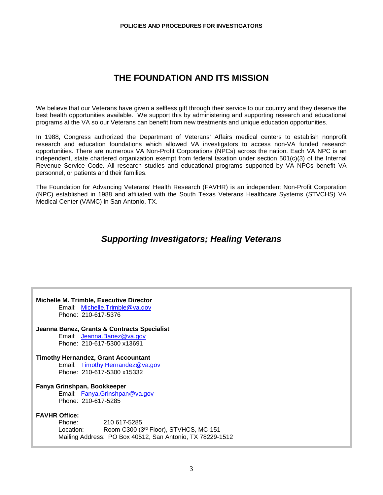## **THE FOUNDATION AND ITS MISSION**

We believe that our Veterans have given a selfless gift through their service to our country and they deserve the best health opportunities available. We support this by administering and supporting research and educational programs at the VA so our Veterans can benefit from new treatments and unique education opportunities.

In 1988, Congress authorized the Department of Veterans' Affairs medical centers to establish nonprofit research and education foundations which allowed VA investigators to access non-VA funded research opportunities. There are numerous VA Non-Profit Corporations (NPCs) across the nation. Each VA NPC is an independent, state chartered organization exempt from federal taxation under section 501(c)(3) of the Internal Revenue Service Code. All research studies and educational programs supported by VA NPCs benefit VA personnel, or patients and their families.

The Foundation for Advancing Veterans' Health Research (FAVHR) is an independent Non-Profit Corporation (NPC) established in 1988 and affiliated with the South Texas Veterans Healthcare Systems (STVCHS) VA Medical Center (VAMC) in San Antonio, TX.

## *Supporting Investigators; Healing Veterans*

**Michelle M. Trimble, Executive Director** Email: [Michelle.Trimble@va.gov](mailto:Michelle.Trimble@va.gov) Phone: 210-617-5376

**Jeanna Banez, Grants & Contracts Specialist** Email: [Jeanna.Banez@va.gov](mailto:Jeanna.Banez@va.gov) Phone: 210-617-5300 x13691

**Timothy Hernandez, Grant Accountant** Email: [Timothy.Hernandez@va.gov](mailto:Timothy.Hernandez@va.gov) Phone: 210-617-5300 x15332

#### **Fanya Grinshpan, Bookkeeper**

Email: [Fanya.Grinshpan@va.gov](mailto:Fanya.Grinshpan@va.gov) Phone: 210-617-5285

## **FAVHR Office:**

Phone: 210 617-5285<br>
Location: Room C300 (3 Room C300 (3rd Floor), STVHCS, MC-151 Mailing Address: PO Box 40512, San Antonio, TX 78229-1512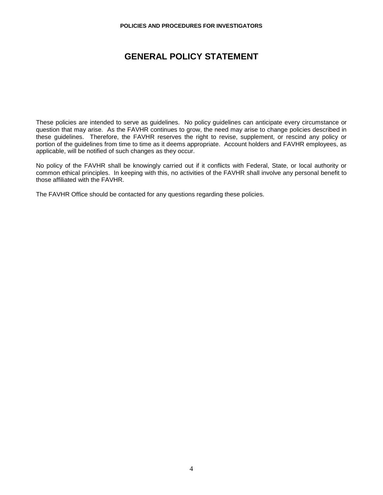## **GENERAL POLICY STATEMENT**

These policies are intended to serve as guidelines. No policy guidelines can anticipate every circumstance or question that may arise. As the FAVHR continues to grow, the need may arise to change policies described in these guidelines. Therefore, the FAVHR reserves the right to revise, supplement, or rescind any policy or portion of the guidelines from time to time as it deems appropriate. Account holders and FAVHR employees, as applicable, will be notified of such changes as they occur.

No policy of the FAVHR shall be knowingly carried out if it conflicts with Federal, State, or local authority or common ethical principles. In keeping with this, no activities of the FAVHR shall involve any personal benefit to those affiliated with the FAVHR.

The FAVHR Office should be contacted for any questions regarding these policies.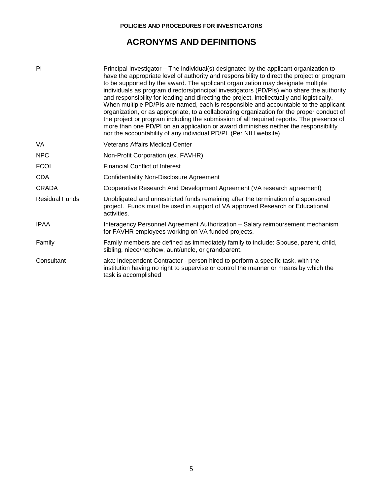## **ACRONYMS AND DEFINITIONS**

| PI                    | Principal Investigator - The individual(s) designated by the applicant organization to<br>have the appropriate level of authority and responsibility to direct the project or program<br>to be supported by the award. The applicant organization may designate multiple<br>individuals as program directors/principal investigators (PD/PIs) who share the authority<br>and responsibility for leading and directing the project, intellectually and logistically.<br>When multiple PD/PIs are named, each is responsible and accountable to the applicant<br>organization, or as appropriate, to a collaborating organization for the proper conduct of<br>the project or program including the submission of all required reports. The presence of<br>more than one PD/PI on an application or award diminishes neither the responsibility<br>nor the accountability of any individual PD/PI. (Per NIH website) |
|-----------------------|--------------------------------------------------------------------------------------------------------------------------------------------------------------------------------------------------------------------------------------------------------------------------------------------------------------------------------------------------------------------------------------------------------------------------------------------------------------------------------------------------------------------------------------------------------------------------------------------------------------------------------------------------------------------------------------------------------------------------------------------------------------------------------------------------------------------------------------------------------------------------------------------------------------------|
| <b>VA</b>             | Veterans Affairs Medical Center                                                                                                                                                                                                                                                                                                                                                                                                                                                                                                                                                                                                                                                                                                                                                                                                                                                                                    |
| <b>NPC</b>            | Non-Profit Corporation (ex. FAVHR)                                                                                                                                                                                                                                                                                                                                                                                                                                                                                                                                                                                                                                                                                                                                                                                                                                                                                 |
| <b>FCOI</b>           | <b>Financial Conflict of Interest</b>                                                                                                                                                                                                                                                                                                                                                                                                                                                                                                                                                                                                                                                                                                                                                                                                                                                                              |
| <b>CDA</b>            | <b>Confidentiality Non-Disclosure Agreement</b>                                                                                                                                                                                                                                                                                                                                                                                                                                                                                                                                                                                                                                                                                                                                                                                                                                                                    |
| CRADA                 | Cooperative Research And Development Agreement (VA research agreement)                                                                                                                                                                                                                                                                                                                                                                                                                                                                                                                                                                                                                                                                                                                                                                                                                                             |
| <b>Residual Funds</b> | Unobligated and unrestricted funds remaining after the termination of a sponsored<br>project. Funds must be used in support of VA approved Research or Educational<br>activities.                                                                                                                                                                                                                                                                                                                                                                                                                                                                                                                                                                                                                                                                                                                                  |
| <b>IPAA</b>           | Interagency Personnel Agreement Authorization - Salary reimbursement mechanism<br>for FAVHR employees working on VA funded projects.                                                                                                                                                                                                                                                                                                                                                                                                                                                                                                                                                                                                                                                                                                                                                                               |
| Family                | Family members are defined as immediately family to include: Spouse, parent, child,<br>sibling, niece/nephew, aunt/uncle, or grandparent.                                                                                                                                                                                                                                                                                                                                                                                                                                                                                                                                                                                                                                                                                                                                                                          |
| Consultant            | aka: Independent Contractor - person hired to perform a specific task, with the<br>institution having no right to supervise or control the manner or means by which the<br>task is accomplished                                                                                                                                                                                                                                                                                                                                                                                                                                                                                                                                                                                                                                                                                                                    |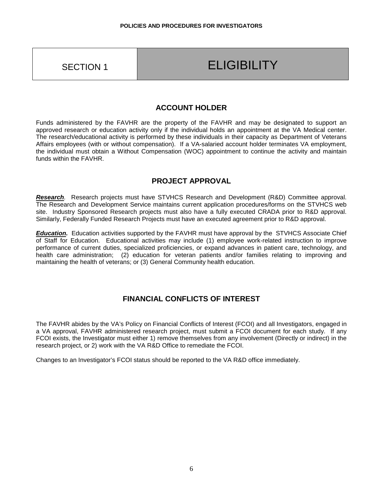## SECTION 1 | ELIGIBILITY

## **ACCOUNT HOLDER**

Funds administered by the FAVHR are the property of the FAVHR and may be designated to support an approved research or education activity only if the individual holds an appointment at the VA Medical center. The research/educational activity is performed by these individuals in their capacity as Department of Veterans Affairs employees (with or without compensation). If a VA-salaried account holder terminates VA employment, the individual must obtain a Without Compensation (WOC) appointment to continue the activity and maintain funds within the FAVHR.

## **PROJECT APPROVAL**

*Research.* Research projects must have STVHCS Research and Development (R&D) Committee approval. The Research and Development Service maintains current application procedures/forms on the STVHCS web site. Industry Sponsored Research projects must also have a fully executed CRADA prior to R&D approval. Similarly, Federally Funded Research Projects must have an executed agreement prior to R&D approval.

*Education.* Education activities supported by the FAVHR must have approval by the STVHCS Associate Chief of Staff for Education. Educational activities may include (1) employee work-related instruction to improve performance of current duties, specialized proficiencies, or expand advances in patient care, technology, and health care administration; (2) education for veteran patients and/or families relating to improving and maintaining the health of veterans; or (3) General Community health education.

## **FINANCIAL CONFLICTS OF INTEREST**

The FAVHR abides by the VA's Policy on Financial Conflicts of Interest (FCOI) and all Investigators, engaged in a VA approval, FAVHR administered research project, must submit a FCOI document for each study. If any FCOI exists, the Investigator must either 1) remove themselves from any involvement (Directly or indirect) in the research project, or 2) work with the VA R&D Office to remediate the FCOI.

Changes to an Investigator's FCOI status should be reported to the VA R&D office immediately.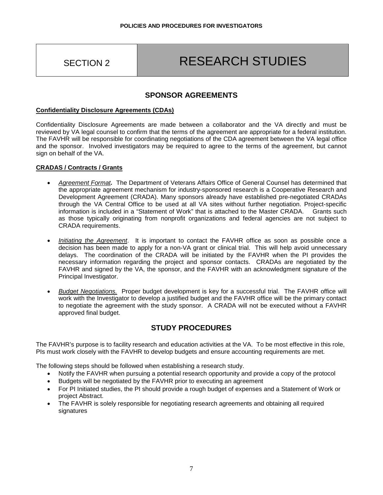## SECTION 2 RESEARCH STUDIES

## **SPONSOR AGREEMENTS**

#### **Confidentiality Disclosure Agreements (CDAs)**

Confidentiality Disclosure Agreements are made between a collaborator and the VA directly and must be reviewed by VA legal counsel to confirm that the terms of the agreement are appropriate for a federal institution. The FAVHR will be responsible for coordinating negotiations of the CDA agreement between the VA legal office and the sponsor. Involved investigators may be required to agree to the terms of the agreement, but cannot sign on behalf of the VA.

#### **CRADAS / Contracts / Grants**

- *Agreement Format.* The Department of Veterans Affairs Office of General Counsel has determined that the appropriate agreement mechanism for industry-sponsored research is a Cooperative Research and Development Agreement (CRADA). Many sponsors already have established pre-negotiated CRADAs through the VA Central Office to be used at all VA sites without further negotiation. Project-specific information is included in a "Statement of Work" that is attached to the Master CRADA. Grants such as those typically originating from nonprofit organizations and federal agencies are not subject to CRADA requirements.
- *Initiating the Agreement*. It is important to contact the FAVHR office as soon as possible once a decision has been made to apply for a non-VA grant or clinical trial. This will help avoid unnecessary delays. The coordination of the CRADA will be initiated by the FAVHR when the PI provides the necessary information regarding the project and sponsor contacts. CRADAs are negotiated by the FAVHR and signed by the VA, the sponsor, and the FAVHR with an acknowledgment signature of the Principal Investigator.
- *Budget Negotiations.* Proper budget development is key for a successful trial. The FAVHR office will work with the Investigator to develop a justified budget and the FAVHR office will be the primary contact to negotiate the agreement with the study sponsor. A CRADA will not be executed without a FAVHR approved final budget.

## **STUDY PROCEDURES**

The FAVHR's purpose is to facility research and education activities at the VA. To be most effective in this role, PIs must work closely with the FAVHR to develop budgets and ensure accounting requirements are met.

The following steps should be followed when establishing a research study.

- Notify the FAVHR when pursuing a potential research opportunity and provide a copy of the protocol
- Budgets will be negotiated by the FAVHR prior to executing an agreement
- For PI Initiated studies, the PI should provide a rough budget of expenses and a Statement of Work or project Abstract.
- The FAVHR is solely responsible for negotiating research agreements and obtaining all required signatures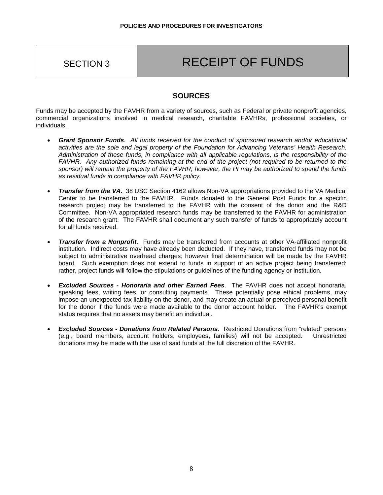## SECTION 3 RECEIPT OF FUNDS

## **SOURCES**

Funds may be accepted by the FAVHR from a variety of sources, such as Federal or private nonprofit agencies, commercial organizations involved in medical research, charitable FAVHRs, professional societies, or individuals.

- *Grant Sponsor Funds. All funds received for the conduct of sponsored research and/or educational activities are the sole and legal property of the Foundation for Advancing Veterans' Health Research. Administration of these funds, in compliance with all applicable regulations, is the responsibility of the FAVHR. Any authorized funds remaining at the end of the project (not required to be returned to the sponsor) will remain the property of the FAVHR; however, the PI may be authorized to spend the funds as residual funds in compliance with FAVHR policy.*
- *Transfer from the VA***.** 38 USC Section 4162 allows Non-VA appropriations provided to the VA Medical Center to be transferred to the FAVHR. Funds donated to the General Post Funds for a specific research project may be transferred to the FAVHR with the consent of the donor and the R&D Committee. Non-VA appropriated research funds may be transferred to the FAVHR for administration of the research grant. The FAVHR shall document any such transfer of funds to appropriately account for all funds received.
- *Transfer from a Nonprofit*. Funds may be transferred from accounts at other VA-affiliated nonprofit institution. Indirect costs may have already been deducted. If they have, transferred funds may not be subject to administrative overhead charges; however final determination will be made by the FAVHR board. Such exemption does not extend to funds in support of an active project being transferred; rather, project funds will follow the stipulations or guidelines of the funding agency or institution.
- *Excluded Sources - Honoraria and other Earned Fees*. The FAVHR does not accept honoraria, speaking fees, writing fees, or consulting payments. These potentially pose ethical problems, may impose an unexpected tax liability on the donor, and may create an actual or perceived personal benefit for the donor if the funds were made available to the donor account holder. The FAVHR's exempt status requires that no assets may benefit an individual.
- *Excluded Sources - Donations from Related Persons.* Restricted Donations from "related" persons (e.g., board members, account holders, employees, families) will not be accepted. Unrestricted donations may be made with the use of said funds at the full discretion of the FAVHR.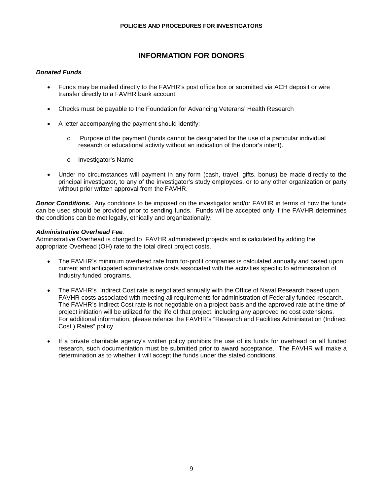## **INFORMATION FOR DONORS**

#### *Donated Funds.*

- Funds may be mailed directly to the FAVHR's post office box or submitted via ACH deposit or wire transfer directly to a FAVHR bank account.
- Checks must be payable to the Foundation for Advancing Veterans' Health Research
- A letter accompanying the payment should identify:
	- o Purpose of the payment (funds cannot be designated for the use of a particular individual research or educational activity without an indication of the donor's intent).
	- o Investigator's Name
- Under no circumstances will payment in any form (cash, travel, gifts, bonus) be made directly to the principal investigator, to any of the investigator's study employees, or to any other organization or party without prior written approval from the FAVHR.

**Donor Conditions.** Any conditions to be imposed on the investigator and/or FAVHR in terms of how the funds can be used should be provided prior to sending funds. Funds will be accepted only if the FAVHR determines the conditions can be met legally, ethically and organizationally.

#### *Administrative Overhead Fee.*

Administrative Overhead is charged to FAVHR administered projects and is calculated by adding the appropriate Overhead (OH) rate to the total direct project costs.

- The FAVHR's minimum overhead rate from for-profit companies is calculated annually and based upon current and anticipated administrative costs associated with the activities specific to administration of Industry funded programs.
- The FAVHR's Indirect Cost rate is negotiated annually with the Office of Naval Research based upon FAVHR costs associated with meeting all requirements for administration of Federally funded research. The FAVHR's Indirect Cost rate is not negotiable on a project basis and the approved rate at the time of project initiation will be utilized for the life of that project, including any approved no cost extensions. For additional information, please refence the FAVHR's "Research and Facilities Administration (Indirect Cost ) Rates" policy.
- If a private charitable agency's written policy prohibits the use of its funds for overhead on all funded research, such documentation must be submitted prior to award acceptance. The FAVHR will make a determination as to whether it will accept the funds under the stated conditions.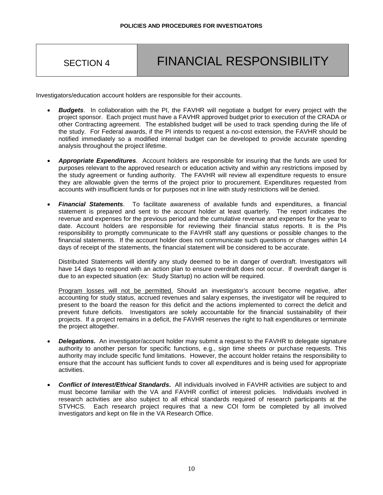## SECTION 4 | FINANCIAL RESPONSIBILITY

Investigators/education account holders are responsible for their accounts.

- *Budgets*. In collaboration with the PI, the FAVHR will negotiate a budget for every project with the project sponsor. Each project must have a FAVHR approved budget prior to execution of the CRADA or other Contracting agreement. The established budget will be used to track spending during the life of the study. For Federal awards, if the PI intends to request a no-cost extension, the FAVHR should be notified immediately so a modified internal budget can be developed to provide accurate spending analysis throughout the project lifetime.
- *Appropriate Expenditures*. Account holders are responsible for insuring that the funds are used for purposes relevant to the approved research or education activity and within any restrictions imposed by the study agreement or funding authority. The FAVHR will review all expenditure requests to ensure they are allowable given the terms of the project prior to procurement. Expenditures requested from accounts with insufficient funds or for purposes not in line with study restrictions will be denied.
- *Financial Statements*. To facilitate awareness of available funds and expenditures, a financial statement is prepared and sent to the account holder at least quarterly. The report indicates the revenue and expenses for the previous period and the cumulative revenue and expenses for the year to date. Account holders are responsible for reviewing their financial status reports. It is the PIs responsibility to promptly communicate to the FAVHR staff any questions or possible changes to the financial statements. If the account holder does not communicate such questions or changes within 14 days of receipt of the statements, the financial statement will be considered to be accurate.

Distributed Statements will identify any study deemed to be in danger of overdraft. Investigators will have 14 days to respond with an action plan to ensure overdraft does not occur. If overdraft danger is due to an expected situation (ex: Study Startup) no action will be required.

Program losses will not be permitted. Should an investigator's account become negative, after accounting for study status, accrued revenues and salary expenses, the investigator will be required to present to the board the reason for this deficit and the actions implemented to correct the deficit and prevent future deficits. Investigators are solely accountable for the financial sustainability of their projects. If a project remains in a deficit, the FAVHR reserves the right to halt expenditures or terminate the project altogether.

- *Delegations.* An investigator/account holder may submit a request to the FAVHR to delegate signature authority to another person for specific functions, e.g., sign time sheets or purchase requests. This authority may include specific fund limitations. However, the account holder retains the responsibility to ensure that the account has sufficient funds to cover all expenditures and is being used for appropriate activities.
- *Conflict of Interest/Ethical Standards***.** All individuals involved in FAVHR activities are subject to and must become familiar with the VA and FAVHR conflict of interest policies. Individuals involved in research activities are also subject to all ethical standards required of research participants at the STVHCS. Each research project requires that a new COI form be completed by all involved investigators and kept on file in the VA Research Office.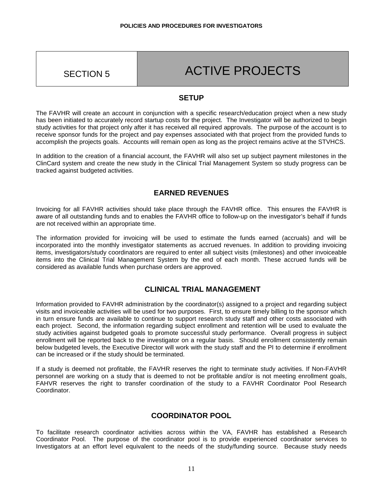## SECTION 5 ACTIVE PROJECTS

## **SETUP**

The FAVHR will create an account in conjunction with a specific research/education project when a new study has been initiated to accurately record startup costs for the project. The Investigator will be authorized to begin study activities for that project only after it has received all required approvals. The purpose of the account is to receive sponsor funds for the project and pay expenses associated with that project from the provided funds to accomplish the projects goals. Accounts will remain open as long as the project remains active at the STVHCS.

In addition to the creation of a financial account, the FAVHR will also set up subject payment milestones in the ClinCard system and create the new study in the Clinical Trial Management System so study progress can be tracked against budgeted activities.

## **EARNED REVENUES**

Invoicing for all FAVHR activities should take place through the FAVHR office. This ensures the FAVHR is aware of all outstanding funds and to enables the FAVHR office to follow-up on the investigator's behalf if funds are not received within an appropriate time.

The information provided for invoicing will be used to estimate the funds earned (accruals) and will be incorporated into the monthly investigator statements as accrued revenues. In addition to providing invoicing items, investigators/study coordinators are required to enter all subject visits (milestones) and other invoiceable items into the Clinical Trial Management System by the end of each month. These accrued funds will be considered as available funds when purchase orders are approved.

## **CLINICAL TRIAL MANAGEMENT**

Information provided to FAVHR administration by the coordinator(s) assigned to a project and regarding subject visits and invoiceable activities will be used for two purposes. First, to ensure timely billing to the sponsor which in turn ensure funds are available to continue to support research study staff and other costs associated with each project. Second, the information regarding subject enrollment and retention will be used to evaluate the study activities against budgeted goals to promote successful study performance. Overall progress in subject enrollment will be reported back to the investigator on a regular basis. Should enrollment consistently remain below budgeted levels, the Executive Director will work with the study staff and the PI to determine if enrollment can be increased or if the study should be terminated.

If a study is deemed not profitable, the FAVHR reserves the right to terminate study activities. If Non-FAVHR personnel are working on a study that is deemed to not be profitable and/or is not meeting enrollment goals, FAHVR reserves the right to transfer coordination of the study to a FAVHR Coordinator Pool Research Coordinator.

### **COORDINATOR POOL**

To facilitate research coordinator activities across within the VA, FAVHR has established a Research Coordinator Pool. The purpose of the coordinator pool is to provide experienced coordinator services to Investigators at an effort level equivalent to the needs of the study/funding source. Because study needs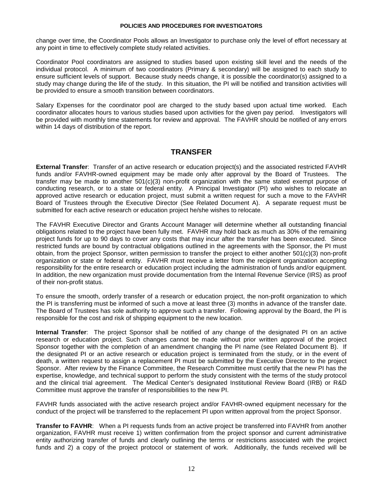change over time, the Coordinator Pools allows an Investigator to purchase only the level of effort necessary at any point in time to effectively complete study related activities.

Coordinator Pool coordinators are assigned to studies based upon existing skill level and the needs of the individual protocol. A minimum of two coordinators (Primary & secondary) will be assigned to each study to ensure sufficient levels of support. Because study needs change, it is possible the coordinator(s) assigned to a study may change during the life of the study. In this situation, the PI will be notified and transition activities will be provided to ensure a smooth transition between coordinators.

Salary Expenses for the coordinator pool are charged to the study based upon actual time worked. Each coordinator allocates hours to various studies based upon activities for the given pay period. Investigators will be provided with monthly time statements for review and approval. The FAVHR should be notified of any errors within 14 days of distribution of the report.

## **TRANSFER**

**External Transfer**: Transfer of an active research or education project(s) and the associated restricted FAVHR funds and/or FAVHR-owned equipment may be made only after approval by the Board of Trustees. The transfer may be made to another 501(c)(3) non-profit organization with the same stated exempt purpose of conducting research, or to a state or federal entity. A Principal Investigator (PI) who wishes to relocate an approved active research or education project, must submit a written request for such a move to the FAVHR Board of Trustees through the Executive Director (See Related Document A). A separate request must be submitted for each active research or education project he/she wishes to relocate.

The FAVHR Executive Director and Grants Account Manager will determine whether all outstanding financial obligations related to the project have been fully met. FAVHR may hold back as much as 30% of the remaining project funds for up to 90 days to cover any costs that may incur after the transfer has been executed. Since restricted funds are bound by contractual obligations outlined in the agreements with the Sponsor, the PI must obtain, from the project Sponsor, written permission to transfer the project to either another 501(c)(3) non-profit organization or state or federal entity. FAVHR must receive a letter from the recipient organization accepting responsibility for the entire research or education project including the administration of funds and/or equipment. In addition, the new organization must provide documentation from the Internal Revenue Service (IRS) as proof of their non-profit status.

To ensure the smooth, orderly transfer of a research or education project, the non-profit organization to which the PI is transferring must be informed of such a move at least three (3) months in advance of the transfer date. The Board of Trustees has sole authority to approve such a transfer. Following approval by the Board, the PI is responsible for the cost and risk of shipping equipment to the new location.

**Internal Transfer**: The project Sponsor shall be notified of any change of the designated PI on an active research or education project. Such changes cannot be made without prior written approval of the project Sponsor together with the completion of an amendment changing the PI name (see Related Document B). If the designated PI or an active research or education project is terminated from the study, or in the event of death, a written request to assign a replacement PI must be submitted by the Executive Director to the project Sponsor. After review by the Finance Committee, the Research Committee must certify that the new PI has the expertise, knowledge, and technical support to perform the study consistent with the terms of the study protocol and the clinical trial agreement. The Medical Center's designated Institutional Review Board (IRB) or R&D Committee must approve the transfer of responsibilities to the new PI.

FAVHR funds associated with the active research project and/or FAVHR-owned equipment necessary for the conduct of the project will be transferred to the replacement PI upon written approval from the project Sponsor.

**Transfer to FAVHR**: When a PI requests funds from an active project be transferred into FAVHR from another organization, FAVHR must receive 1) written confirmation from the project sponsor and current administrative entity authorizing transfer of funds and clearly outlining the terms or restrictions associated with the project funds and 2) a copy of the project protocol or statement of work. Additionally, the funds received will be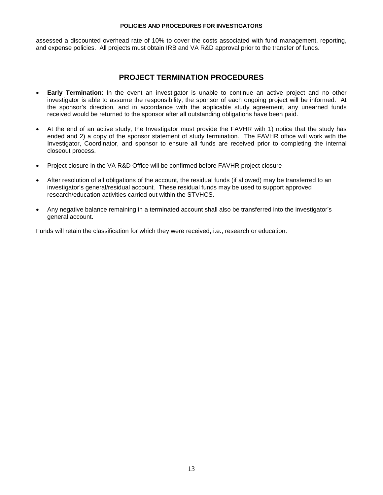assessed a discounted overhead rate of 10% to cover the costs associated with fund management, reporting, and expense policies. All projects must obtain IRB and VA R&D approval prior to the transfer of funds.

## **PROJECT TERMINATION PROCEDURES**

- **Early Termination**: In the event an investigator is unable to continue an active project and no other investigator is able to assume the responsibility, the sponsor of each ongoing project will be informed. At the sponsor's direction, and in accordance with the applicable study agreement, any unearned funds received would be returned to the sponsor after all outstanding obligations have been paid.
- At the end of an active study, the Investigator must provide the FAVHR with 1) notice that the study has ended and 2) a copy of the sponsor statement of study termination. The FAVHR office will work with the Investigator, Coordinator, and sponsor to ensure all funds are received prior to completing the internal closeout process.
- Project closure in the VA R&D Office will be confirmed before FAVHR project closure
- After resolution of all obligations of the account, the residual funds (if allowed) may be transferred to an investigator's general/residual account. These residual funds may be used to support approved research/education activities carried out within the STVHCS.
- Any negative balance remaining in a terminated account shall also be transferred into the investigator's general account.

Funds will retain the classification for which they were received, i.e., research or education.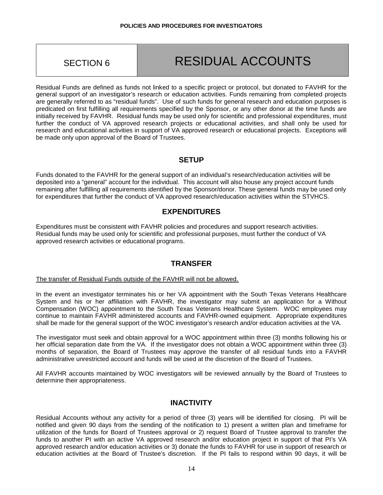## SECTION 6 RESIDUAL ACCOUNTS

Residual Funds are defined as funds not linked to a specific project or protocol, but donated to FAVHR for the general support of an investigator's research or education activities. Funds remaining from completed projects are generally referred to as "residual funds". Use of such funds for general research and education purposes is predicated on first fulfilling all requirements specified by the Sponsor, or any other donor at the time funds are initially received by FAVHR. Residual funds may be used only for scientific and professional expenditures, must further the conduct of VA approved research projects or educational activities, and shall only be used for research and educational activities in support of VA approved research or educational projects. Exceptions will be made only upon approval of the Board of Trustees.

### **SETUP**

Funds donated to the FAVHR for the general support of an individual's research/education activities will be deposited into a "general" account for the individual. This account will also house any project account funds remaining after fulfilling all requirements identified by the Sponsor/donor. These general funds may be used only for expenditures that further the conduct of VA approved research/education activities within the STVHCS.

## **EXPENDITURES**

Expenditures must be consistent with FAVHR policies and procedures and support research activities. Residual funds may be used only for scientific and professional purposes, must further the conduct of VA approved research activities or educational programs.

## **TRANSFER**

#### The transfer of Residual Funds outside of the FAVHR will not be allowed.

In the event an investigator terminates his or her VA appointment with the South Texas Veterans Healthcare System and his or her affiliation with FAVHR, the investigator may submit an application for a Without Compensation (WOC) appointment to the South Texas Veterans Healthcare System. WOC employees may continue to maintain FAVHR administered accounts and FAVHR-owned equipment. Appropriate expenditures shall be made for the general support of the WOC investigator's research and/or education activities at the VA.

The investigator must seek and obtain approval for a WOC appointment within three (3) months following his or her official separation date from the VA. If the investigator does not obtain a WOC appointment within three (3) months of separation, the Board of Trustees may approve the transfer of all residual funds into a FAVHR administrative unrestricted account and funds will be used at the discretion of the Board of Trustees.

All FAVHR accounts maintained by WOC investigators will be reviewed annually by the Board of Trustees to determine their appropriateness.

## **INACTIVITY**

Residual Accounts without any activity for a period of three (3) years will be identified for closing. PI will be notified and given 90 days from the sending of the notification to 1) present a written plan and timeframe for utilization of the funds for Board of Trustees approval or 2) request Board of Trustee approval to transfer the funds to another PI with an active VA approved research and/or education project in support of that PI's VA approved research and/or education activities or 3) donate the funds to FAVHR for use in support of research or education activities at the Board of Trustee's discretion. If the PI fails to respond within 90 days, it will be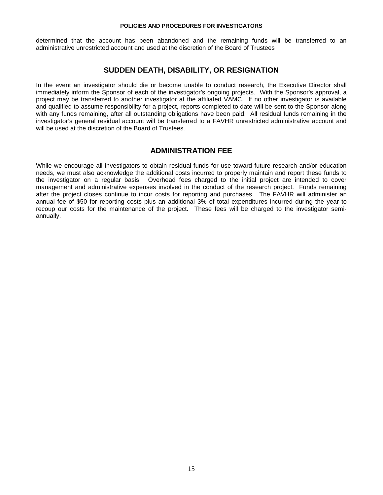determined that the account has been abandoned and the remaining funds will be transferred to an administrative unrestricted account and used at the discretion of the Board of Trustees

## **SUDDEN DEATH, DISABILITY, OR RESIGNATION**

In the event an investigator should die or become unable to conduct research, the Executive Director shall immediately inform the Sponsor of each of the investigator's ongoing projects. With the Sponsor's approval, a project may be transferred to another investigator at the affiliated VAMC. If no other investigator is available and qualified to assume responsibility for a project, reports completed to date will be sent to the Sponsor along with any funds remaining, after all outstanding obligations have been paid. All residual funds remaining in the investigator's general residual account will be transferred to a FAVHR unrestricted administrative account and will be used at the discretion of the Board of Trustees.

### **ADMINISTRATION FEE**

While we encourage all investigators to obtain residual funds for use toward future research and/or education needs, we must also acknowledge the additional costs incurred to properly maintain and report these funds to the investigator on a regular basis. Overhead fees charged to the initial project are intended to cover management and administrative expenses involved in the conduct of the research project. Funds remaining after the project closes continue to incur costs for reporting and purchases. The FAVHR will administer an annual fee of \$50 for reporting costs plus an additional 3% of total expenditures incurred during the year to recoup our costs for the maintenance of the project. These fees will be charged to the investigator semiannually.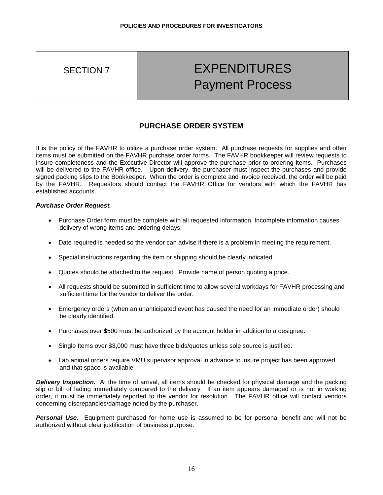## SECTION 7 | EXPENDITURES Payment Process

## **PURCHASE ORDER SYSTEM**

It is the policy of the FAVHR to utilize a purchase order system. All purchase requests for supplies and other items must be submitted on the FAVHR purchase order forms. The FAVHR bookkeeper will review requests to insure completeness and the Executive Director will approve the purchase prior to ordering items. Purchases will be delivered to the FAVHR office. Upon delivery, the purchaser must inspect the purchases and provide signed packing slips to the Bookkeeper. When the order is complete and invoice received, the order will be paid by the FAVHR. Requestors should contact the FAVHR Office for vendors with which the FAVHR has established accounts.

#### *Purchase Order Request.*

- Purchase Order form must be complete with all requested information. Incomplete information causes delivery of wrong items and ordering delays.
- Date required is needed so the vendor can advise if there is a problem in meeting the requirement.
- Special instructions regarding the item or shipping should be clearly indicated.
- Quotes should be attached to the request. Provide name of person quoting a price.
- All requests should be submitted in sufficient time to allow several workdays for FAVHR processing and sufficient time for the vendor to deliver the order.
- Emergency orders (when an unanticipated event has caused the need for an immediate order) should be clearly identified.
- Purchases over \$500 must be authorized by the account holder in addition to a designee.
- Single Items over \$3,000 must have three bids/quotes unless sole source is justified.
- Lab animal orders require VMU supervisor approval in advance to insure project has been approved and that space is available.

*Delivery Inspection***.** At the time of arrival, all items should be checked for physical damage and the packing slip or bill of lading immediately compared to the delivery. If an item appears damaged or is not in working order, it must be immediately reported to the vendor for resolution. The FAVHR office will contact vendors concerning discrepancies/damage noted by the purchaser.

*Personal Use*. Equipment purchased for home use is assumed to be for personal benefit and will not be authorized without clear justification of business purpose.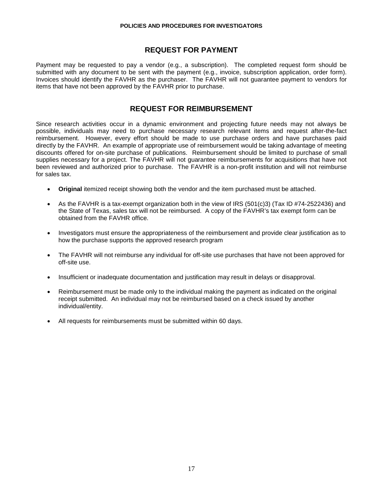### **REQUEST FOR PAYMENT**

Payment may be requested to pay a vendor (e.g., a subscription). The completed request form should be submitted with any document to be sent with the payment (e.g., invoice, subscription application, order form). Invoices should identify the FAVHR as the purchaser. The FAVHR will not guarantee payment to vendors for items that have not been approved by the FAVHR prior to purchase.

### **REQUEST FOR REIMBURSEMENT**

Since research activities occur in a dynamic environment and projecting future needs may not always be possible, individuals may need to purchase necessary research relevant items and request after-the-fact reimbursement. However, every effort should be made to use purchase orders and have purchases paid directly by the FAVHR. An example of appropriate use of reimbursement would be taking advantage of meeting discounts offered for on-site purchase of publications. Reimbursement should be limited to purchase of small supplies necessary for a project. The FAVHR will not guarantee reimbursements for acquisitions that have not been reviewed and authorized prior to purchase. The FAVHR is a non-profit institution and will not reimburse for sales tax.

- **Original** itemized receipt showing both the vendor and the item purchased must be attached.
- As the FAVHR is a tax-exempt organization both in the view of IRS  $(501(c)3)$  (Tax ID #74-2522436) and the State of Texas, sales tax will not be reimbursed. A copy of the FAVHR's tax exempt form can be obtained from the FAVHR office.
- Investigators must ensure the appropriateness of the reimbursement and provide clear justification as to how the purchase supports the approved research program
- The FAVHR will not reimburse any individual for off-site use purchases that have not been approved for off-site use.
- Insufficient or inadequate documentation and justification may result in delays or disapproval.
- Reimbursement must be made only to the individual making the payment as indicated on the original receipt submitted. An individual may not be reimbursed based on a check issued by another individual/entity.
- All requests for reimbursements must be submitted within 60 days.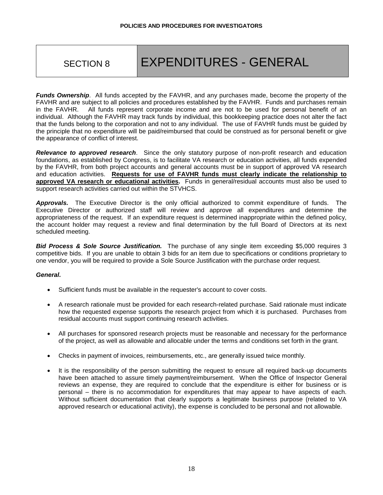SECTION 8 EXPENDITURES - GENERAL

*Funds Ownership*. All funds accepted by the FAVHR, and any purchases made, become the property of the FAVHR and are subject to all policies and procedures established by the FAVHR. Funds and purchases remain<br>in the FAVHR. All funds represent corporate income and are not to be used for personal benefit of an All funds represent corporate income and are not to be used for personal benefit of an individual. Although the FAVHR may track funds by individual, this bookkeeping practice does not alter the fact that the funds belong to the corporation and not to any individual. The use of FAVHR funds must be guided by the principle that no expenditure will be paid/reimbursed that could be construed as for personal benefit or give the appearance of conflict of interest.

*Relevance to approved research*. Since the only statutory purpose of non-profit research and education foundations, as established by Congress, is to facilitate VA research or education activities, all funds expended by the FAVHR, from both project accounts and general accounts must be in support of approved VA research and education activities. **Requests for use of FAVHR funds must clearly indicate the relationship to approved VA research or educational activities.** Funds in general/residual accounts must also be used to support research activities carried out within the STVHCS.

*Approvals.* The Executive Director is the only official authorized to commit expenditure of funds. The Executive Director or authorized staff will review and approve all expenditures and determine the appropriateness of the request. If an expenditure request is determined inappropriate within the defined policy, the account holder may request a review and final determination by the full Board of Directors at its next scheduled meeting.

*Bid Process & Sole Source Justification.* The purchase of any single item exceeding \$5,000 requires 3 competitive bids. If you are unable to obtain 3 bids for an item due to specifications or conditions proprietary to one vendor, you will be required to provide a Sole Source Justification with the purchase order request.

#### *General.*

- Sufficient funds must be available in the requester's account to cover costs.
- A research rationale must be provided for each research-related purchase. Said rationale must indicate how the requested expense supports the research project from which it is purchased. Purchases from residual accounts must support continuing research activities.
- All purchases for sponsored research projects must be reasonable and necessary for the performance of the project, as well as allowable and allocable under the terms and conditions set forth in the grant.
- Checks in payment of invoices, reimbursements, etc., are generally issued twice monthly.
- It is the responsibility of the person submitting the request to ensure all required back-up documents have been attached to assure timely payment/reimbursement. When the Office of Inspector General reviews an expense, they are required to conclude that the expenditure is either for business or is personal – there is no accommodation for expenditures that may appear to have aspects of each. Without sufficient documentation that clearly supports a legitimate business purpose (related to VA approved research or educational activity), the expense is concluded to be personal and not allowable.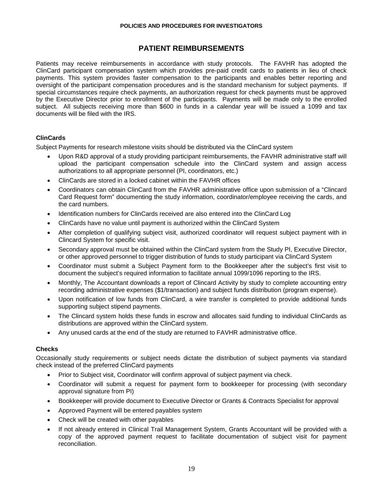## **PATIENT REIMBURSEMENTS**

Patients may receive reimbursements in accordance with study protocols. The FAVHR has adopted the ClinCard participant compensation system which provides pre-paid credit cards to patients in lieu of check payments. This system provides faster compensation to the participants and enables better reporting and oversight of the participant compensation procedures and is the standard mechanism for subject payments. If special circumstances require check payments, an authorization request for check payments must be approved by the Executive Director prior to enrollment of the participants. Payments will be made only to the enrolled subject. All subjects receiving more than \$600 in funds in a calendar year will be issued a 1099 and tax documents will be filed with the IRS.

### **ClinCards**

Subject Payments for research milestone visits should be distributed via the ClinCard system

- Upon R&D approval of a study providing participant reimbursements, the FAVHR administrative staff will upload the participant compensation schedule into the ClinCard system and assign access authorizations to all appropriate personnel (PI, coordinators, etc.)
- ClinCards are stored in a locked cabinet within the FAVHR offices
- Coordinators can obtain ClinCard from the FAVHR administrative office upon submission of a "Clincard Card Request form" documenting the study information, coordinator/employee receiving the cards, and the card numbers.
- Identification numbers for ClinCards received are also entered into the ClinCard Log
- ClinCards have no value until payment is authorized within the ClinCard System
- After completion of qualifying subject visit, authorized coordinator will request subject payment with in Clincard System for specific visit.
- Secondary approval must be obtained within the ClinCard system from the Study PI, Executive Director, or other approved personnel to trigger distribution of funds to study participant via ClinCard System
- Coordinator must submit a Subject Payment form to the Bookkeeper after the subject's first visit to document the subject's required information to facilitate annual 1099/1096 reporting to the IRS.
- Monthly, The Accountant downloads a report of Clincard Activity by study to complete accounting entry recording administrative expenses (\$1/transaction) and subject funds distribution (program expense).
- Upon notification of low funds from ClinCard, a wire transfer is completed to provide additional funds supporting subject stipend payments.
- The Clincard system holds these funds in escrow and allocates said funding to individual ClinCards as distributions are approved within the ClinCard system.
- Any unused cards at the end of the study are returned to FAVHR administrative office.

#### **Checks**

Occasionally study requirements or subject needs dictate the distribution of subject payments via standard check instead of the preferred ClinCard payments

- Prior to Subject visit, Coordinator will confirm approval of subject payment via check.
- Coordinator will submit a request for payment form to bookkeeper for processing (with secondary approval signature from PI)
- Bookkeeper will provide document to Executive Director or Grants & Contracts Specialist for approval
- Approved Payment will be entered payables system
- Check will be created with other payables
- If not already entered in Clinical Trail Management System, Grants Accountant will be provided with a copy of the approved payment request to facilitate documentation of subject visit for payment reconciliation.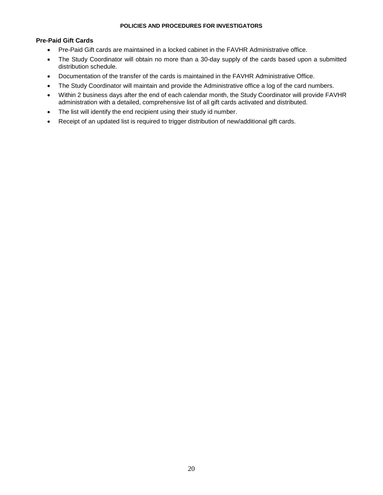#### **Pre-Paid Gift Cards**

- Pre-Paid Gift cards are maintained in a locked cabinet in the FAVHR Administrative office.
- The Study Coordinator will obtain no more than a 30-day supply of the cards based upon a submitted distribution schedule.
- Documentation of the transfer of the cards is maintained in the FAVHR Administrative Office.
- The Study Coordinator will maintain and provide the Administrative office a log of the card numbers.
- Within 2 business days after the end of each calendar month, the Study Coordinator will provide FAVHR administration with a detailed, comprehensive list of all gift cards activated and distributed.
- The list will identify the end recipient using their study id number.
- Receipt of an updated list is required to trigger distribution of new/additional gift cards.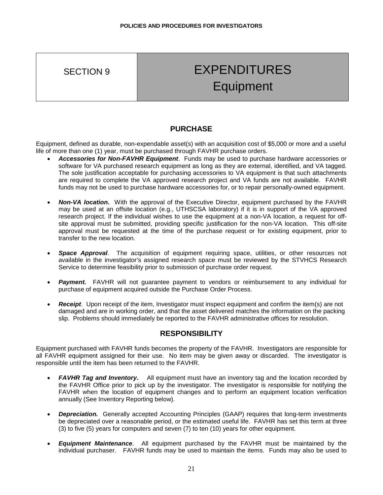## SECTION 9 | EXPENDITURES **Equipment**

## **PURCHASE**

Equipment, defined as durable, non-expendable asset(s) with an acquisition cost of \$5,000 or more and a useful life of more than one (1) year, must be purchased through FAVHR purchase orders.

- *Accessories for Non-FAVHR Equipment*. Funds may be used to purchase hardware accessories or software for VA purchased research equipment as long as they are external, identified, and VA tagged. The sole justification acceptable for purchasing accessories to VA equipment is that such attachments are required to complete the VA approved research project and VA funds are not available. FAVHR funds may not be used to purchase hardware accessories for, or to repair personally-owned equipment.
- **Non-VA location.** With the approval of the Executive Director, equipment purchased by the FAVHR may be used at an offsite location (e.g., UTHSCSA laboratory) if it is in support of the VA approved research project. If the individual wishes to use the equipment at a non-VA location, a request for offsite approval must be submitted, providing specific justification for the non-VA location. This off-site approval must be requested at the time of the purchase request or for existing equipment, prior to transfer to the new location.
- *Space Approval*. The acquisition of equipment requiring space, utilities, or other resources not available in the investigator's assigned research space must be reviewed by the STVHCS Research Service to determine feasibility prior to submission of purchase order request.
- **Payment.** FAVHR will not quarantee payment to vendors or reimbursement to any individual for purchase of equipment acquired outside the Purchase Order Process.
- **Receipt.** Upon receipt of the item, Investigator must inspect equipment and confirm the item(s) are not damaged and are in working order, and that the asset delivered matches the information on the packing slip. Problems should immediately be reported to the FAVHR administrative offices for resolution.

## **RESPONSIBILITY**

Equipment purchased with FAVHR funds becomes the property of the FAVHR. Investigators are responsible for all FAVHR equipment assigned for their use. No item may be given away or discarded. The investigator is responsible until the item has been returned to the FAVHR.

- *FAVHR Tag and Inventory***.** All equipment must have an inventory tag and the location recorded by the FAVHR Office prior to pick up by the investigator. The investigator is responsible for notifying the FAVHR when the location of equipment changes and to perform an equipment location verification annually (See Inventory Reporting below).
- **Depreciation.** Generally accepted Accounting Principles (GAAP) requires that long-term investments be depreciated over a reasonable period, or the estimated useful life. FAVHR has set this term at three (3) to five (5) years for computers and seven (7) to ten (10) years for other equipment.
- *Equipment Maintenance*. All equipment purchased by the FAVHR must be maintained by the individual purchaser. FAVHR funds may be used to maintain the items. Funds may also be used to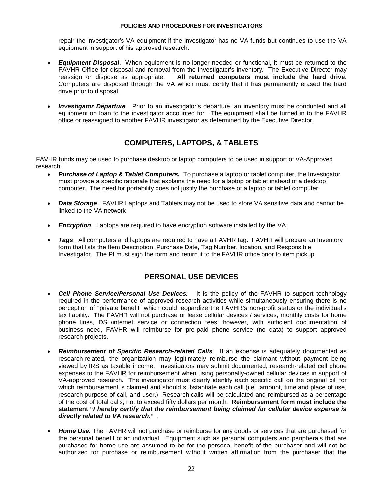repair the investigator's VA equipment if the investigator has no VA funds but continues to use the VA equipment in support of his approved research.

- *Equipment Disposal*. When equipment is no longer needed or functional, it must be returned to the FAVHR Office for disposal and removal from the investigator's inventory. The Executive Director may reassign or dispose as appropriate. **All returned computers must include the hard drive**. Computers are disposed through the VA which must certify that it has permanently erased the hard drive prior to disposal.
- *Investigator Departure*. Prior to an investigator's departure, an inventory must be conducted and all equipment on loan to the investigator accounted for. The equipment shall be turned in to the FAVHR office or reassigned to another FAVHR investigator as determined by the Executive Director.

## **COMPUTERS, LAPTOPS, & TABLETS**

FAVHR funds may be used to purchase desktop or laptop computers to be used in support of VA-Approved research.

- *Purchase of Laptop & Tablet Computers.*To purchase a laptop or tablet computer, the Investigator must provide a specific rationale that explains the need for a laptop or tablet instead of a desktop computer. The need for portability does not justify the purchase of a laptop or tablet computer.
- *Data Storage.* FAVHR Laptops and Tablets may not be used to store VA sensitive data and cannot be linked to the VA network
- *Encryption*. Laptops are required to have encryption software installed by the VA.
- *Tags*. All computers and laptops are required to have a FAVHR tag. FAVHR will prepare an Inventory form that lists the Item Description, Purchase Date, Tag Number, location, and Responsible Investigator. The PI must sign the form and return it to the FAVHR office prior to item pickup.

## **PERSONAL USE DEVICES**

- *Cell Phone Service/Personal Use Devices.* It is the policy of the FAVHR to support technology required in the performance of approved research activities while simultaneously ensuring there is no perception of "private benefit" which could jeopardize the FAVHR's non-profit status or the individual's tax liability. The FAVHR will not purchase or lease cellular devices / services, monthly costs for home phone lines, DSL/internet service or connection fees; however, with sufficient documentation of business need, FAVHR will reimburse for pre-paid phone service (no data) to support approved research projects.
- *Reimbursement of Specific Research-related Calls*. If an expense is adequately documented as research-related, the organization may legitimately reimburse the claimant without payment being viewed by IRS as taxable income. Investigators may submit documented, research-related cell phone expenses to the FAVHR for reimbursement when using personally-owned cellular devices in support of VA-approved research. The investigator must clearly identify each specific call on the original bill for which reimbursement is claimed and should substantiate each call (i.e., amount, time and place of use, research purpose of call, and user.) Research calls will be calculated and reimbursed as a percentage of the cost of total calls, not to exceed fifty dollars per month. **Reimbursement form must include the statement "***I hereby certify that the reimbursement being claimed for cellular device expense is directly related to VA research***."** .
- *Home Use.* The FAVHR will not purchase or reimburse for any goods or services that are purchased for the personal benefit of an individual. Equipment such as personal computers and peripherals that are purchased for home use are assumed to be for the personal benefit of the purchaser and will not be authorized for purchase or reimbursement without written affirmation from the purchaser that the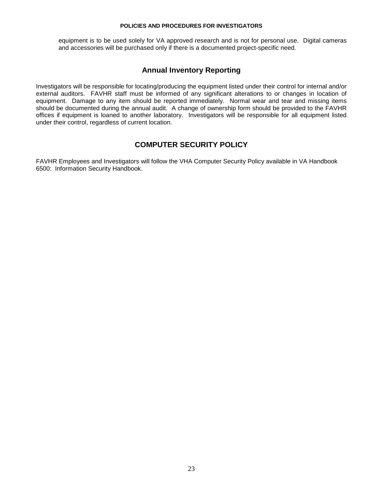equipment is to be used solely for VA approved research and is not for personal use. Digital cameras and accessories will be purchased only if there is a documented project-specific need.

### **Annual Inventory Reporting**

Investigators will be responsible for locating/producing the equipment listed under their control for internal and/or external auditors. FAVHR staff must be informed of any significant alterations to or changes in location of equipment. Damage to any item should be reported immediately. Normal wear and tear and missing items should be documented during the annual audit. A change of ownership form should be provided to the FAVHR offices if equipment is loaned to another laboratory. Investigators will be responsible for all equipment listed under their control, regardless of current location.

## **COMPUTER SECURITY POLICY**

FAVHR Employees and Investigators will follow the VHA Computer Security Policy available in VA Handbook 6500: Information Security Handbook.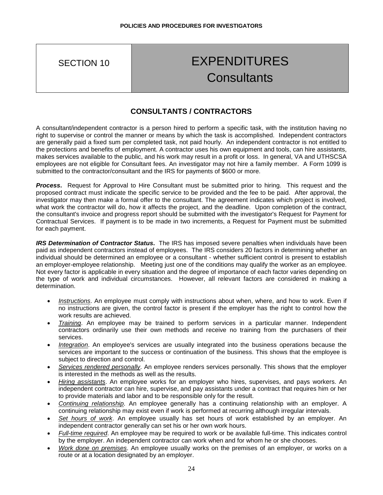## SECTION 10 | EXPENDITURES **Consultants**

## **CONSULTANTS / CONTRACTORS**

A consultant/independent contractor is a person hired to perform a specific task, with the institution having no right to supervise or control the manner or means by which the task is accomplished. Independent contractors are generally paid a fixed sum per completed task, not paid hourly. An independent contractor is not entitled to the protections and benefits of employment. A contractor uses his own equipment and tools, can hire assistants, makes services available to the public, and his work may result in a profit or loss. In general, VA and UTHSCSA employees are not eligible for Consultant fees. An investigator may not hire a family member. A Form 1099 is submitted to the contractor/consultant and the IRS for payments of \$600 or more.

**Process.** Request for Approval to Hire Consultant must be submitted prior to hiring. This request and the proposed contract must indicate the specific service to be provided and the fee to be paid. After approval, the investigator may then make a formal offer to the consultant. The agreement indicates which project is involved, what work the contractor will do, how it affects the project, and the deadline. Upon completion of the contract, the consultant's invoice and progress report should be submitted with the investigator's Request for Payment for Contractual Services. If payment is to be made in two increments, a Request for Payment must be submitted for each payment.

*IRS Determination of Contractor Status***.** The IRS has imposed severe penalties when individuals have been paid as independent contractors instead of employees. The IRS considers 20 factors in determining whether an individual should be determined an employee or a consultant - whether sufficient control is present to establish an employer-employee relationship. Meeting just one of the conditions may qualify the worker as an employee. Not every factor is applicable in every situation and the degree of importance of each factor varies depending on the type of work and individual circumstances. However, all relevant factors are considered in making a determination.

- *Instructions*. An employee must comply with instructions about when, where, and how to work. Even if no instructions are given, the control factor is present if the employer has the right to control how the work results are achieved.
- *Training*. An employee may be trained to perform services in a particular manner. Independent contractors ordinarily use their own methods and receive no training from the purchasers of their services.
- *Integration*. An employee's services are usually integrated into the business operations because the services are important to the success or continuation of the business. This shows that the employee is subject to direction and control.
- *Services rendered personally*. An employee renders services personally. This shows that the employer is interested in the methods as well as the results.
- *Hiring assistants*. An employee works for an employer who hires, supervises, and pays workers. An independent contractor can hire, supervise, and pay assistants under a contract that requires him or her to provide materials and labor and to be responsible only for the result.
- *Continuing relationship*. An employee generally has a continuing relationship with an employer. A continuing relationship may exist even if work is performed at recurring although irregular intervals.
- *Set hours of work*. An employee usually has set hours of work established by an employer. An independent contractor generally can set his or her own work hours.
- *Full-time required*. An employee may be required to work or be available full-time. This indicates control by the employer. An independent contractor can work when and for whom he or she chooses.
- *Work done on premises*. An employee usually works on the premises of an employer, or works on a route or at a location designated by an employer.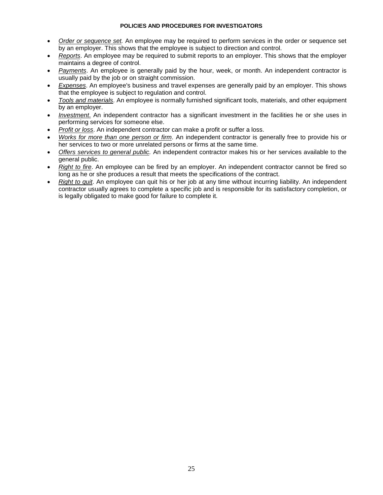- *Order or sequence set.* An employee may be required to perform services in the order or sequence set by an employer. This shows that the employee is subject to direction and control.
- *Reports*. An employee may be required to submit reports to an employer. This shows that the employer maintains a degree of control.
- *Payments*. An employee is generally paid by the hour, week, or month. An independent contractor is usually paid by the job or on straight commission.
- *Expenses*. An employee's business and travel expenses are generally paid by an employer. This shows that the employee is subject to regulation and control.
- *Tools and materials*. An employee is normally furnished significant tools, materials, and other equipment by an employer.
- *Investment*. An independent contractor has a significant investment in the facilities he or she uses in performing services for someone else.
- *Profit or loss*. An independent contractor can make a profit or suffer a loss.
- *Works for more than one person or firm*. An independent contractor is generally free to provide his or her services to two or more unrelated persons or firms at the same time.
- *Offers services to general public.* An independent contractor makes his or her services available to the general public.
- *Right to fire*. An employee can be fired by an employer. An independent contractor cannot be fired so long as he or she produces a result that meets the specifications of the contract.
- *Right to quit*. An employee can quit his or her job at any time without incurring liability. An independent contractor usually agrees to complete a specific job and is responsible for its satisfactory completion, or is legally obligated to make good for failure to complete it.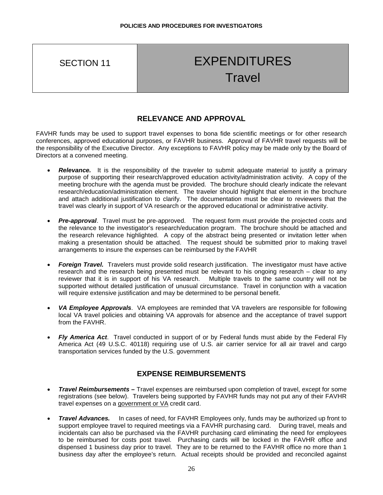## SECTION 11 | EXPENDITURES **Travel**

## **RELEVANCE AND APPROVAL**

FAVHR funds may be used to support travel expenses to bona fide scientific meetings or for other research conferences, approved educational purposes, or FAVHR business. Approval of FAVHR travel requests will be the responsibility of the Executive Director. Any exceptions to FAVHR policy may be made only by the Board of Directors at a convened meeting.

- **Relevance.** It is the responsibility of the traveler to submit adequate material to justify a primary purpose of supporting their research/approved education activity/administration activity. A copy of the meeting brochure with the agenda must be provided. The brochure should clearly indicate the relevant research/education/administration element. The traveler should highlight that element in the brochure and attach additional justification to clarify. The documentation must be clear to reviewers that the travel was clearly in support of VA research or the approved educational or administrative activity.
- *Pre-approval.* Travel must be pre-approved. The request form must provide the projected costs and the relevance to the investigator's research/education program. The brochure should be attached and the research relevance highlighted. A copy of the abstract being presented or invitation letter when making a presentation should be attached. The request should be submitted prior to making travel arrangements to insure the expenses can be reimbursed by the FAVHR
- **Foreign Travel.** Travelers must provide solid research justification. The investigator must have active research and the research being presented must be relevant to his ongoing research – clear to any reviewer that it is in support of his VA research. Multiple travels to the same country will not be supported without detailed justification of unusual circumstance. Travel in conjunction with a vacation will require extensive justification and may be determined to be personal benefit.
- *VA Employee Approvals*. VA employees are reminded that VA travelers are responsible for following local VA travel policies and obtaining VA approvals for absence and the acceptance of travel support from the FAVHR.
- *Fly America Act*. Travel conducted in support of or by Federal funds must abide by the Federal Fly America Act (49 U.S.C. 40118) requiring use of U.S. air carrier service for all air travel and cargo transportation services funded by the U.S. government

## **EXPENSE REIMBURSEMENTS**

- *Travel Reimbursements –* Travel expenses are reimbursed upon completion of travel, except for some registrations (see below). Travelers being supported by FAVHR funds may not put any of their FAVHR travel expenses on a government or VA credit card.
- *Travel Advances.* In cases of need, for FAVHR Employees only, funds may be authorized up front to support employee travel to required meetings via a FAVHR purchasing card. During travel, meals and incidentals can also be purchased via the FAVHR purchasing card eliminating the need for employees to be reimbursed for costs post travel. Purchasing cards will be locked in the FAVHR office and dispensed 1 business day prior to travel. They are to be returned to the FAVHR office no more than 1 business day after the employee's return. Actual receipts should be provided and reconciled against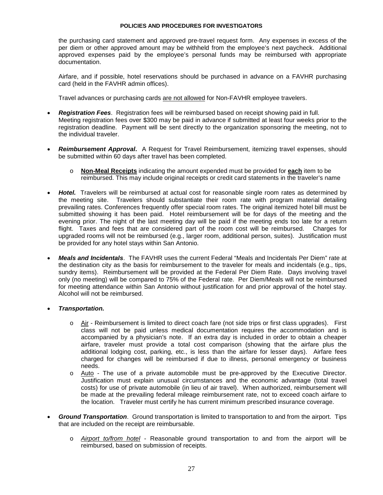the purchasing card statement and approved pre-travel request form. Any expenses in excess of the per diem or other approved amount may be withheld from the employee's next paycheck. Additional approved expenses paid by the employee's personal funds may be reimbursed with appropriate documentation.

Airfare, and if possible, hotel reservations should be purchased in advance on a FAVHR purchasing card (held in the FAVHR admin offices).

Travel advances or purchasing cards are not allowed for Non-FAVHR employee travelers.

- *Registration Fees*. Registration fees will be reimbursed based on receipt showing paid in full. Meeting registration fees over \$300 may be paid in advance if submitted at least four weeks prior to the registration deadline. Payment will be sent directly to the organization sponsoring the meeting, not to the individual traveler.
- *Reimbursement Approval***.** A Request for Travel Reimbursement, itemizing travel expenses, should be submitted within 60 days after travel has been completed.
	- o **Non-Meal Receipts** indicating the amount expended must be provided for **each** item to be reimbursed. This may include original receipts or credit card statements in the traveler's name
- **Hotel.** Travelers will be reimbursed at actual cost for reasonable single room rates as determined by the meeting site. Travelers should substantiate their room rate with program material detailing prevailing rates. Conferences frequently offer special room rates. The original itemized hotel bill must be submitted showing it has been paid. Hotel reimbursement will be for days of the meeting and the evening prior. The night of the last meeting day will be paid if the meeting ends too late for a return flight. Taxes and fees that are considered part of the room cost will be reimbursed. Charges for upgraded rooms will not be reimbursed (e.g., larger room, additional person, suites). Justification must be provided for any hotel stays within San Antonio.
- *Meals and Incidentals*. The FAVHR uses the current Federal "Meals and Incidentals Per Diem" rate at the destination city as the basis for reimbursement to the traveler for meals and incidentals (e.g., tips, sundry items). Reimbursement will be provided at the Federal Per Diem Rate. Days involving travel only (no meeting) will be compared to 75% of the Federal rate. Per Diem/Meals will not be reimbursed for meeting attendance within San Antonio without justification for and prior approval of the hotel stay. Alcohol will not be reimbursed.

#### • *Transportation.*

- o Air Reimbursement is limited to direct coach fare (not side trips or first class upgrades). First class will not be paid unless medical documentation requires the accommodation and is accompanied by a physician's note. If an extra day is included in order to obtain a cheaper airfare, traveler must provide a total cost comparison (showing that the airfare plus the additional lodging cost, parking, etc., is less than the airfare for lesser days). Airfare fees charged for changes will be reimbursed if due to illness, personal emergency or business needs.
- $\circ$  Auto The use of a private automobile must be pre-approved by the Executive Director. Justification must explain unusual circumstances and the economic advantage (total travel costs) for use of private automobile (in lieu of air travel). When authorized, reimbursement will be made at the prevailing federal mileage reimbursement rate, not to exceed coach airfare to the location. Traveler must certify he has current minimum prescribed insurance coverage.
- *Ground Transportation*. Ground transportation is limited to transportation to and from the airport. Tips that are included on the receipt are reimbursable.
	- o *Airport to/from hotel* Reasonable ground transportation to and from the airport will be reimbursed, based on submission of receipts.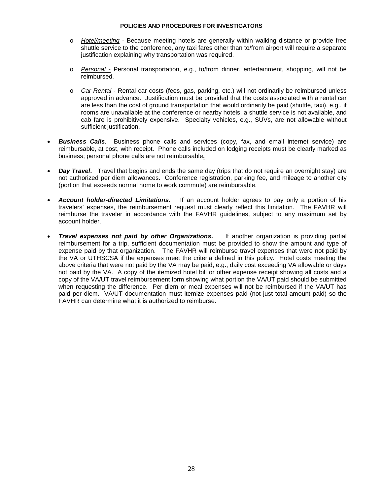- o *Hotel/meeting* Because meeting hotels are generally within walking distance or provide free shuttle service to the conference, any taxi fares other than to/from airport will require a separate justification explaining why transportation was required.
- o *Personal* Personal transportation, e.g., to/from dinner, entertainment, shopping, will not be reimbursed.
- o *Car Rental* Rental car costs (fees, gas, parking, etc.) will not ordinarily be reimbursed unless approved in advance. Justification must be provided that the costs associated with a rental car are less than the cost of ground transportation that would ordinarily be paid (shuttle, taxi), e.g., if rooms are unavailable at the conference or nearby hotels, a shuttle service is not available, and cab fare is prohibitively expensive. Specialty vehicles, e.g., SUVs, are not allowable without sufficient justification.
- *Business Calls*. Business phone calls and services (copy, fax, and email internet service) are reimbursable, at cost, with receipt. Phone calls included on lodging receipts must be clearly marked as business; personal phone calls are not reimbursable**.**
- *Day Travel*. Travel that begins and ends the same day (trips that do not require an overnight stay) are not authorized per diem allowances. Conference registration, parking fee, and mileage to another city (portion that exceeds normal home to work commute) are reimbursable.
- *Account holder-directed Limitations*. If an account holder agrees to pay only a portion of his travelers' expenses, the reimbursement request must clearly reflect this limitation. The FAVHR will reimburse the traveler in accordance with the FAVHR guidelines, subject to any maximum set by account holder.
- **Travel expenses not paid by other Organizations.** If another organization is providing partial reimbursement for a trip, sufficient documentation must be provided to show the amount and type of expense paid by that organization. The FAVHR will reimburse travel expenses that were not paid by the VA or UTHSCSA if the expenses meet the criteria defined in this policy. Hotel costs meeting the above criteria that were not paid by the VA may be paid, e.g., daily cost exceeding VA allowable or days not paid by the VA. A copy of the itemized hotel bill or other expense receipt showing all costs and a copy of the VA/UT travel reimbursement form showing what portion the VA/UT paid should be submitted when requesting the difference. Per diem or meal expenses will not be reimbursed if the VA/UT has paid per diem. VA/UT documentation must itemize expenses paid (not just total amount paid) so the FAVHR can determine what it is authorized to reimburse.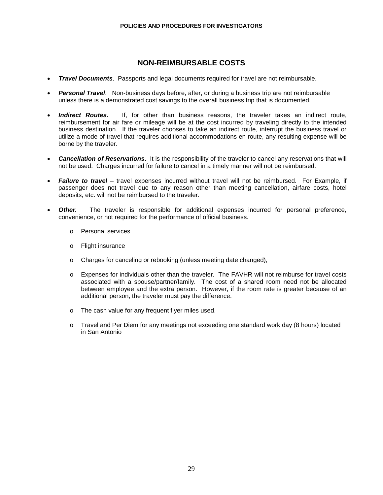## **NON-REIMBURSABLE COSTS**

- *Travel Documents*. Passports and legal documents required for travel are not reimbursable.
- *Personal Travel*. Non-business days before, after, or during a business trip are not reimbursable unless there is a demonstrated cost savings to the overall business trip that is documented.
- *Indirect Routes***.** If, for other than business reasons, the traveler takes an indirect route, reimbursement for air fare or mileage will be at the cost incurred by traveling directly to the intended business destination. If the traveler chooses to take an indirect route, interrupt the business travel or utilize a mode of travel that requires additional accommodations en route, any resulting expense will be borne by the traveler.
- *Cancellation of Reservations***.** It is the responsibility of the traveler to cancel any reservations that will not be used. Charges incurred for failure to cancel in a timely manner will not be reimbursed.
- *Failure to travel* travel expenses incurred without travel will not be reimbursed. For Example, if passenger does not travel due to any reason other than meeting cancellation, airfare costs, hotel deposits, etc. will not be reimbursed to the traveler.
- **Other.** The traveler is responsible for additional expenses incurred for personal preference, convenience, or not required for the performance of official business.
	- o Personal services
	- o Flight insurance
	- o Charges for canceling or rebooking (unless meeting date changed),
	- o Expenses for individuals other than the traveler. The FAVHR will not reimburse for travel costs associated with a spouse/partner/family. The cost of a shared room need not be allocated between employee and the extra person. However, if the room rate is greater because of an additional person, the traveler must pay the difference.
	- o The cash value for any frequent flyer miles used.
	- o Travel and Per Diem for any meetings not exceeding one standard work day (8 hours) located in San Antonio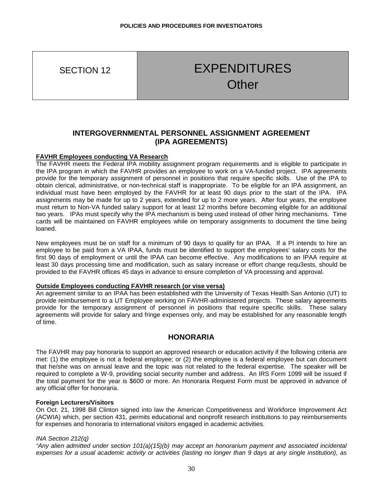## SECTION 12 | EXPENDITURES **Other**

## **INTERGOVERNMENTAL PERSONNEL ASSIGNMENT AGREEMENT (IPA AGREEMENTS)**

#### **FAVHR Employees conducting VA Research**

The FAVHR meets the Federal IPA mobility assignment program requirements and is eligible to participate in the IPA program in which the FAVHR provides an employee to work on a VA-funded project. IPA agreements provide for the temporary assignment of personnel in positions that require specific skills. Use of the IPA to obtain clerical, administrative, or non-technical staff is inappropriate. To be eligible for an IPA assignment, an individual must have been employed by the FAVHR for at least 90 days prior to the start of the IPA. IPA assignments may be made for up to 2 years, extended for up to 2 more years. After four years, the employee must return to Non-VA funded salary support for at least 12 months before becoming eligible for an additional two years. IPAs must specify why the IPA mechanism is being used instead of other hiring mechanisms. Time cards will be maintained on FAVHR employees while on temporary assignments to document the time being loaned.

New employees must be on staff for a minimum of 90 days to qualify for an IPAA. If a PI intends to hire an employee to be paid from a VA IPAA, funds must be identified to support the employees' salary costs for the first 90 days of employment or until the IPAA can become effective. Any modifications to an IPAA require at least 30 days processing time and modification, such as salary increase or effort change requ3ests, should be provided to the FAVHR offices 45 days in advance to ensure completion of VA processing and approval.

#### **Outside Employees conducting FAVHR research (or vise versa)**

An agreement similar to an IPAA has been established with the University of Texas Health San Antonio (UT) to provide reimbursement to a UT Employee working on FAVHR-administered projects. These salary agreements provide for the temporary assignment of personnel in positions that require specific skills. These salary agreements will provide for salary and fringe expenses only, and may be established for any reasonable length of time.

### **HONORARIA**

The FAVHR may pay honoraria to support an approved research or education activity if the following criteria are met: (1) the employee is not a federal employee; or (2) the employee is a federal employee but can document that he/she was on annual leave and the topic was not related to the federal expertise. The speaker will be required to complete a W-9, providing social security number and address. An IRS Form 1099 will be issued if the total payment for the year is \$600 or more. An Honoraria Request Form must be approved in advance of any official offer for honoraria.

#### **Foreign Lecturers/Visitors**

On Oct. 21, 1998 Bill Clinton signed into law the American Competitiveness and Workforce Improvement Act (ACWIA) which, per section 431, permits educational and nonprofit research institutions to pay reimbursements for expenses and honoraria to international visitors engaged in academic activities.

#### *INA Section 212(q)*

*"Any alien admitted under section 101(a)(15)(b) may accept an honorarium payment and associated incidental expenses for a usual academic activity or activities (lasting no longer than 9 days at any single institution), as*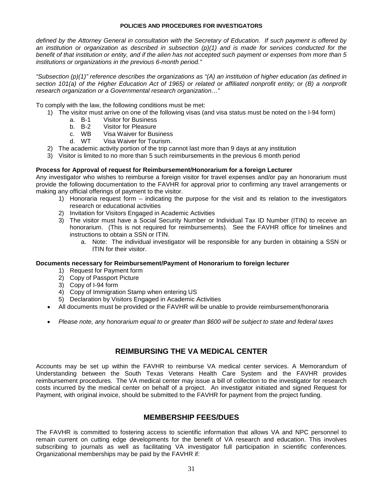*defined by the Attorney General in consultation with the Secretary of Education. If such payment is offered by an institution or organization as described in subsection (p)(1) and is made for services conducted for the benefit of that institution or entity, and if the alien has not accepted such payment or expenses from more than 5 institutions or organizations in the previous 6-month period."*

*"Subsection (p)(1)" reference describes the organizations as "(A) an institution of higher education (as defined in*  section 101(a) of the Higher Education Act of 1965) or related or affiliated nonprofit entity; or (B) a nonprofit *research organization or a Governmental research organization…"*

To comply with the law, the following conditions must be met:

- 1) The visitor must arrive on one of the following visas (and visa status must be noted on the I-94 form)
	- a. B-1 Visitor for Business<br>b. B-2 Visitor for Pleasure
	- b. B-2 Visitor for Pleasure<br>c. WB Visa Waiver for Bus
	- c. WB Visa Waiver for Business<br>d. WT Visa Waiver for Tourism.
	- Visa Waiver for Tourism.
- 2) The academic activity portion of the trip cannot last more than 9 days at any institution
- 3) Visitor is limited to no more than 5 such reimbursements in the previous 6 month period

#### **Process for Approval of request for Reimbursement/Honorarium for a foreign Lecturer**

Any investigator who wishes to reimburse a foreign visitor for travel expenses and/or pay an honorarium must provide the following documentation to the FAVHR for approval prior to confirming any travel arrangements or making any official offerings of payment to the visitor.

- 1) Honoraria request form indicating the purpose for the visit and its relation to the investigators research or educational activities
- 2) Invitation for Visitors Engaged in Academic Activities
- 3) The visitor must have a Social Security Number or Individual Tax ID Number (ITIN) to receive an honorarium. (This is not required for reimbursements). See the FAVHR office for timelines and instructions to obtain a SSN or ITIN.
	- a. Note: The individual investigator will be responsible for any burden in obtaining a SSN or ITIN for their visitor.

#### **Documents necessary for Reimbursement/Payment of Honorarium to foreign lecturer**

- 1) Request for Payment form
- 2) Copy of Passport Picture
- 3) Copy of I-94 form
- 4) Copy of Immigration Stamp when entering US
- 5) Declaration by Visitors Engaged in Academic Activities
- All documents must be provided or the FAVHR will be unable to provide reimbursement/honoraria
- *Please note, any honorarium equal to or greater than \$600 will be subject to state and federal taxes*

## **REIMBURSING THE VA MEDICAL CENTER**

Accounts may be set up within the FAVHR to reimburse VA medical center services. A Memorandum of Understanding between the South Texas Veterans Health Care System and the FAVHR provides reimbursement procedures. The VA medical center may issue a bill of collection to the investigator for research costs incurred by the medical center on behalf of a project. An investigator initiated and signed Request for Payment, with original invoice, should be submitted to the FAVHR for payment from the project funding.

### **MEMBERSHIP FEES/DUES**

The FAVHR is committed to fostering access to scientific information that allows VA and NPC personnel to remain current on cutting edge developments for the benefit of VA research and education. This involves subscribing to journals as well as facilitating VA investigator full participation in scientific conferences. Organizational memberships may be paid by the FAVHR if: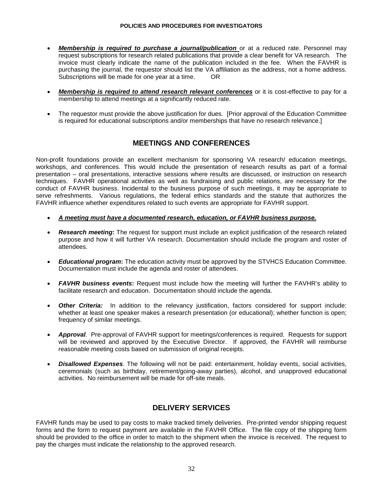- **Membership is required to purchase a journal/publication** or at a reduced rate. Personnel may request subscriptions for research related publications that provide a clear benefit for VA research. The invoice must clearly indicate the name of the publication included in the fee. When the FAVHR is purchasing the journal, the requestor should list the VA affiliation as the address, not a home address. Subscriptions will be made for one year at a time. OR
- *Membership is required to attend research relevant conferences* or it is cost-effective to pay for a membership to attend meetings at a significantly reduced rate.
- The requestor must provide the above justification for dues. [Prior approval of the Education Committee is required for educational subscriptions and/or memberships that have no research relevance.]

## **MEETINGS AND CONFERENCES**

Non-profit foundations provide an excellent mechanism for sponsoring VA research/ education meetings, workshops, and conferences. This would include the presentation of research results as part of a formal presentation – oral presentations, interactive sessions where results are discussed, or instruction on research techniques. FAVHR operational activities as well as fundraising and public relations, are necessary for the conduct of FAVHR business. Incidental to the business purpose of such meetings, it may be appropriate to serve refreshments. Various regulations, the federal ethics standards and the statute that authorizes the FAVHR influence whether expenditures related to such events are appropriate for FAVHR support.

- *A meeting must have a documented research, education, or FAVHR business purpose.*
- *Research meeting***:** The request for support must include an explicit justification of the research related purpose and how it will further VA research. Documentation should include the program and roster of attendees.
- *Educational program***:** The education activity must be approved by the STVHCS Education Committee. Documentation must include the agenda and roster of attendees.
- *FAVHR business events***:** Request must include how the meeting will further the FAVHR's ability to facilitate research and education. Documentation should include the agenda.
- *Other Criteria:* In addition to the relevancy justification, factors considered for support include: whether at least one speaker makes a research presentation (or educational); whether function is open; frequency of similar meetings.
- *Approval*. Pre-approval of FAVHR support for meetings/conferences is required. Requests for support will be reviewed and approved by the Executive Director. If approved, the FAVHR will reimburse reasonable meeting costs based on submission of original receipts.
- *Disallowed Expenses.* The following will not be paid: entertainment, holiday events, social activities, ceremonials (such as birthday, retirement/going-away parties), alcohol, and unapproved educational activities. No reimbursement will be made for off-site meals.

## **DELIVERY SERVICES**

FAVHR funds may be used to pay costs to make tracked timely deliveries. Pre-printed vendor shipping request forms and the form to request payment are available in the FAVHR Office. The file copy of the shipping form should be provided to the office in order to match to the shipment when the invoice is received. The request to pay the charges must indicate the relationship to the approved research.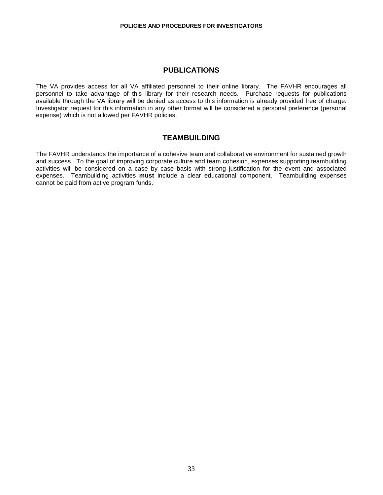### **PUBLICATIONS**

The VA provides access for all VA affiliated personnel to their online library. The FAVHR encourages all personnel to take advantage of this library for their research needs. Purchase requests for publications available through the VA library will be denied as access to this information is already provided free of charge. Investigator request for this information in any other format will be considered a personal preference (personal expense) which is not allowed per FAVHR policies.

## **TEAMBUILDING**

The FAVHR understands the importance of a cohesive team and collaborative environment for sustained growth and success. To the goal of improving corporate culture and team cohesion, expenses supporting teambuilding activities will be considered on a case by case basis with strong justification for the event and associated expenses. Teambuilding activities **must** include a clear educational component. Teambuilding expenses cannot be paid from active program funds.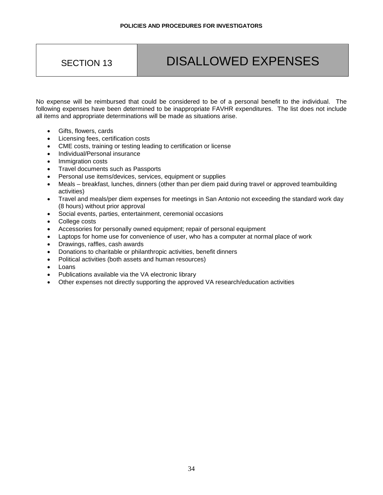## SECTION 13 | DISALLOWED EXPENSES

No expense will be reimbursed that could be considered to be of a personal benefit to the individual. The following expenses have been determined to be inappropriate FAVHR expenditures. The list does not include all items and appropriate determinations will be made as situations arise.

- Gifts, flowers, cards
- Licensing fees, certification costs
- CME costs, training or testing leading to certification or license
- Individual/Personal insurance
- Immigration costs
- Travel documents such as Passports
- Personal use items/devices, services, equipment or supplies
- Meals breakfast, lunches, dinners (other than per diem paid during travel or approved teambuilding activities)
- Travel and meals/per diem expenses for meetings in San Antonio not exceeding the standard work day (8 hours) without prior approval
- Social events, parties, entertainment, ceremonial occasions
- College costs
- Accessories for personally owned equipment; repair of personal equipment
- Laptops for home use for convenience of user, who has a computer at normal place of work
- Drawings, raffles, cash awards
- Donations to charitable or philanthropic activities, benefit dinners
- Political activities (both assets and human resources)
- Loans
- Publications available via the VA electronic library
- Other expenses not directly supporting the approved VA research/education activities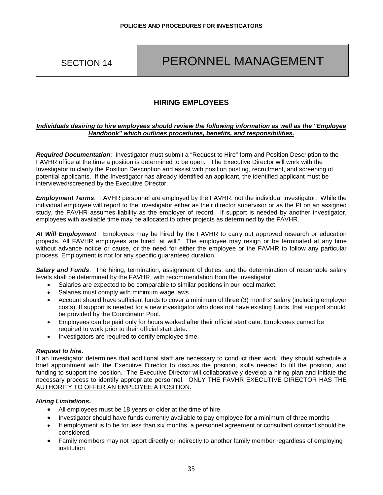## SECTION 14 | PERONNEL MANAGEMENT

## **HIRING EMPLOYEES**

#### *Individuals desiring to hire employees should review the following information as well as the "Employee Handbook" which outlines procedures, benefits, and responsibilities.*

*Required Documentation*: Investigator must submit a "Request to Hire" form and Position Description to the FAVHR office at the time a position is determined to be open. The Executive Director will work with the Investigator to clarify the Position Description and assist with position posting, recruitment, and screening of potential applicants. If the Investigator has already identified an applicant, the identified applicant must be interviewed/screened by the Executive Director.

*Employment Terms*. FAVHR personnel are employed by the FAVHR, not the individual investigator. While the individual employee will report to the investigator either as their director supervisor or as the PI on an assigned study, the FAVHR assumes liability as the employer of record. If support is needed by another investigator, employees with available time may be allocated to other projects as determined by the FAVHR.

*At Will Employment*. Employees may be hired by the FAVHR to carry out approved research or education projects. All FAVHR employees are hired "at will." The employee may resign or be terminated at any time without advance notice or cause, or the need for either the employee or the FAVHR to follow any particular process. Employment is not for any specific guaranteed duration.

*Salary and Funds*. The hiring, termination, assignment of duties, and the determination of reasonable salary levels shall be determined by the FAVHR, with recommendation from the investigator.

- Salaries are expected to be comparable to similar positions in our local market.
- Salaries must comply with minimum wage laws.
- Account should have sufficient funds to cover a minimum of three (3) months' salary (including employer costs). If support is needed for a new investigator who does not have existing funds, that support should be provided by the Coordinator Pool.
- Employees can be paid only for hours worked after their official start date. Employees cannot be required to work prior to their official start date.
- Investigators are required to certify employee time.

#### *Request to hire***.**

If an Investigator determines that additional staff are necessary to conduct their work, they should schedule a brief appointment with the Executive Director to discuss the position, skills needed to fill the position, and funding to support the position. The Executive Director will collaboratively develop a hiring plan and initiate the necessary process to identify appropriate personnel. ONLY THE FAVHR EXECUTIVE DIRECTOR HAS THE AUTHORITY TO OFFER AN EMPLOYEE A POSITION.

#### *Hiring Limitations***.**

- All employees must be 18 years or older at the time of hire.
- Investigator should have funds currently available to pay employee for a minimum of three months
- If employment is to be for less than six months, a personnel agreement or consultant contract should be considered.
- Family members may not report directly or indirectly to another family member regardless of employing institution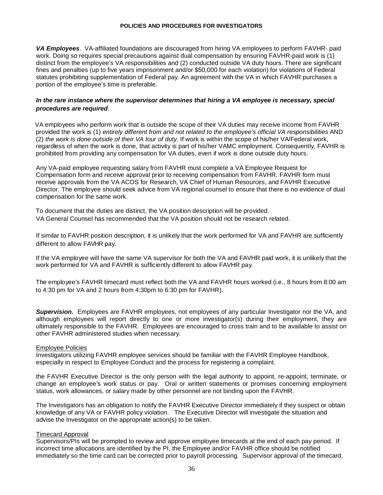*VA Employees*. VA-affiliated foundations are discouraged from hiring VA employees to perform FAVHR- paid work. Doing so requires special precautions against dual compensation by ensuring FAVHR-paid work is (1) distinct from the employee's VA responsibilities and (2) conducted outside VA duty hours. There are significant fines and penalties (up to five years imprisonment and/or \$50,000 for each violation) for violations of Federal statutes prohibiting supplementation of Federal pay. An agreement with the VA in which FAVHR purchases a portion of the employee's time is preferable.

#### *In the rare instance where the supervisor determines that hiring a VA employee is necessary, special procedures are required.*

 VA employees who perform work that is outside the scope of their VA duties may receive income from FAVHR provided the work is (1) *entirely different from and not related to the employee's official VA responsibilities* AND (2) *the work is done outside of their VA tour of duty*. If work is within the scope of his/her VA/Federal work, regardless of when the work is done, that activity is part of his/her VAMC employment. Consequently, FAVHR is prohibited from providing any compensation for VA duties, even if work is done outside duty hours.

Any VA-paid employee requesting salary from FAVHR must complete a VA Employee Request for Compensation form and receive approval prior to receiving compensation from FAVHR. FAVHR form must receive approvals from the VA ACOS for Research, VA Chief of Human Resources, and FAVHR Executive Director. The employee should seek advice from VA regional counsel to ensure that there is no evidence of dual compensation for the same work.

To document that the duties are distinct, the VA position description will be provided. VA General Counsel has recommended that the VA position should not be research related.

If similar to FAVHR position description, it is unlikely that the work performed for VA and FAVHR are sufficiently different to allow FAVHR pay.

If the VA employee will have the same VA supervisor for both the VA and FAVHR paid work, it is unlikely that the work performed for VA and FAVHR is sufficiently different to allow FAVHR pay.

The employee's FAVHR timecard must reflect both the VA and FAVHR hours worked (i.e., 8 hours from 8:00 am to 4:30 pm for VA and 2 hours from 4:30pm to 6:30 pm for FAVHR).

*Supervision.* Employees are FAVHR employees, not employees of any particular Investigator nor the VA, and although employees will report directly to one or more investigator(s) during their employment, they are ultimately responsible to the FAVHR. Employees are encouraged to cross train and to be available to assist on other FAVHR administered studies when necessary.

#### Employee Policies

Investigators utilizing FAVHR employee services should be familiar with the FAVHR Employee Handbook, especially in respect to Employee Conduct and the process for registering a complaint.

the FAVHR Executive Director is the only person with the legal authority to appoint, re-appoint, terminate, or change an employee's work status or pay. Oral or written statements or promises concerning employment status, work allowances, or salary made by other personnel are not binding upon the FAVHR.

The Investigators has an obligation to notify the FAVHR Executive Director immediately if they suspect or obtain knowledge of any VA or FAVHR policy violation. The Executive Director will investigate the situation and advise the Investigator on the appropriate action(s) to be taken.

#### Timecard Approval

Supervisors/PIs will be prompted to review and approve employee timecards at the end of each pay period. If incorrect time allocations are identified by the PI, the Employee and/or FAVHR office should be notified immediately so the time card can be corrected prior to payroll processing. Supervisor approval of the timecard,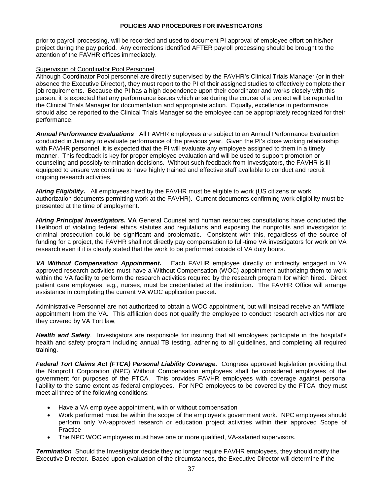prior to payroll processing, will be recorded and used to document PI approval of employee effort on his/her project during the pay period. Any corrections identified AFTER payroll processing should be brought to the attention of the FAVHR offices immediately.

#### Supervision of Coordinator Pool Personnel

Although Coordinator Pool personnel are directly supervised by the FAVHR's Clinical Trials Manager (or in their absence the Executive Director), they must report to the PI of their assigned studies to effectively complete their job requirements. Because the PI has a high dependence upon their coordinator and works closely with this person, it is expected that any performance issues which arise during the course of a project will be reported to the Clinical Trials Manager for documentation and appropriate action. Equally, excellence in performance should also be reported to the Clinical Trials Manager so the employee can be appropriately recognized for their performance.

*Annual Performance Evaluations* All FAVHR employees are subject to an Annual Performance Evaluation conducted in January to evaluate performance of the previous year. Given the PI's close working relationship with FAVHR personnel, it is expected that the PI will evaluate any employee assigned to them in a timely manner. This feedback is key for proper employee evaluation and will be used to support promotion or counseling and possibly termination decisions. Without such feedback from Investigators, the FAVHR is ill equipped to ensure we continue to have highly trained and effective staff available to conduct and recruit ongoing research activities.

*Hiring Eligibility***.** All employees hired by the FAVHR must be eligible to work (US citizens or work authorization documents permitting work at the FAVHR). Current documents confirming work eligibility must be presented at the time of employment.

*Hiring Principal Investigators***. VA** General Counsel and human resources consultations have concluded the likelihood of violating federal ethics statutes and regulations and exposing the nonprofits and investigator to criminal prosecution could be significant and problematic. Consistent with this, regardless of the source of funding for a project, the FAVHR shall not directly pay compensation to full-time VA investigators for work on VA research even if it is clearly stated that the work to be performed outside of VA duty hours.

*VA Without Compensation Appointment***.** Each FAVHR employee directly or indirectly engaged in VA approved research activities must have a Without Compensation (WOC) appointment authorizing them to work within the VA facility to perform the research activities required by the research program for which hired. Direct patient care employees, e.g., nurses, must be credentialed at the institution**.** The FAVHR Office will arrange assistance in completing the current VA WOC application packet.

Administrative Personnel are not authorized to obtain a WOC appointment, but will instead receive an "Affiliate" appointment from the VA. This affiliation does not qualify the employee to conduct research activities nor are they covered by VA Tort law,

*Health and Safety*. Investigators are responsible for insuring that all employees participate in the hospital's health and safety program including annual TB testing, adhering to all guidelines, and completing all required training.

*Federal Tort Claims Act (FTCA) Personal Liability Coverage***.** Congress approved legislation providing that the Nonprofit Corporation (NPC) Without Compensation employees shall be considered employees of the government for purposes of the FTCA. This provides FAVHR employees with coverage against personal liability to the same extent as federal employees. For NPC employees to be covered by the FTCA, they must meet all three of the following conditions:

- Have a VA employee appointment, with or without compensation
- Work performed must be within the scope of the employee's government work. NPC employees should perform only VA-approved research or education project activities within their approved Scope of Practice
- The NPC WOC employees must have one or more qualified, VA-salaried supervisors.

**Termination** Should the Investigator decide they no longer require FAVHR employees, they should notify the Executive Director. Based upon evaluation of the circumstances, the Executive Director will determine if the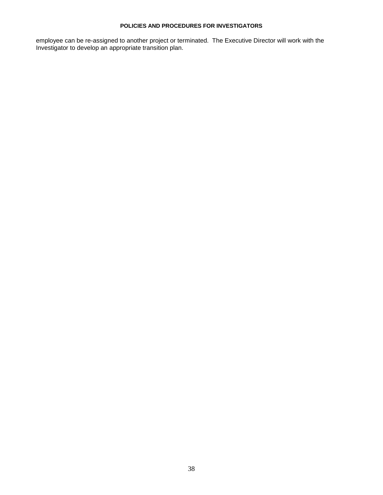employee can be re-assigned to another project or terminated. The Executive Director will work with the Investigator to develop an appropriate transition plan.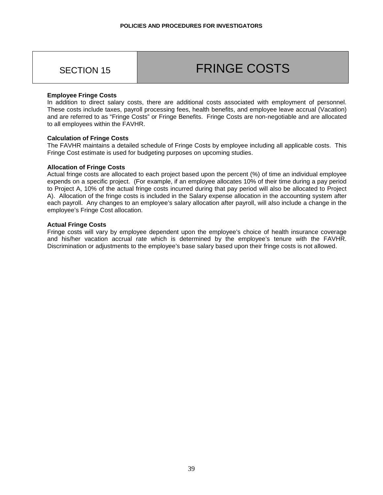## SECTION 15 | FRINGE COSTS

#### **Employee Fringe Costs**

In addition to direct salary costs, there are additional costs associated with employment of personnel. These costs include taxes, payroll processing fees, health benefits, and employee leave accrual (Vacation) and are referred to as "Fringe Costs" or Fringe Benefits. Fringe Costs are non-negotiable and are allocated to all employees within the FAVHR.

#### **Calculation of Fringe Costs**

The FAVHR maintains a detailed schedule of Fringe Costs by employee including all applicable costs. This Fringe Cost estimate is used for budgeting purposes on upcoming studies.

#### **Allocation of Fringe Costs**

Actual fringe costs are allocated to each project based upon the percent (%) of time an individual employee expends on a specific project. (For example, if an employee allocates 10% of their time during a pay period to Project A, 10% of the actual fringe costs incurred during that pay period will also be allocated to Project A). Allocation of the fringe costs is included in the Salary expense allocation in the accounting system after each payroll. Any changes to an employee's salary allocation after payroll, will also include a change in the employee's Fringe Cost allocation.

#### **Actual Fringe Costs**

Fringe costs will vary by employee dependent upon the employee's choice of health insurance coverage and his/her vacation accrual rate which is determined by the employee's tenure with the FAVHR. Discrimination or adjustments to the employee's base salary based upon their fringe costs is not allowed.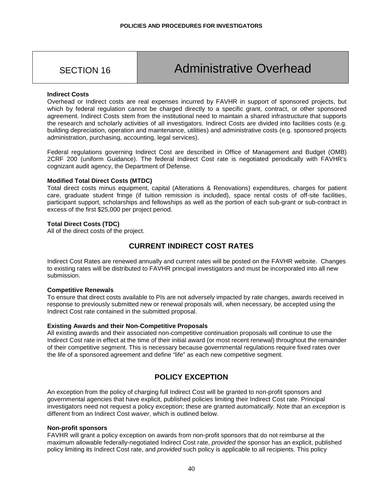## SECTION 16 | Administrative Overhead

#### **Indirect Costs**

Overhead or Indirect costs are real expenses incurred by FAVHR in support of sponsored projects, but which by federal regulation cannot be charged directly to a specific grant, contract, or other sponsored agreement. Indirect Costs stem from the institutional need to maintain a shared infrastructure that supports the research and scholarly activities of all investigators. Indirect Costs are divided into facilities costs (e.g. building depreciation, operation and maintenance, utilities) and administrative costs (e.g. sponsored projects administration, purchasing, accounting, legal services).

Federal regulations governing Indirect Cost are described in Office of Management and Budget (OMB) 2CRF 200 (uniform Guidance). The federal Indirect Cost rate is negotiated periodically with FAVHR's cognizant audit agency, the Department of Defense.

#### **Modified Total Direct Costs (MTDC)**

Total direct costs minus equipment, capital (Alterations & Renovations) expenditures, charges for patient care, graduate student fringe (if tuition remission is included), space rental costs of off-site facilities, participant support, scholarships and fellowships as well as the portion of each sub-grant or sub-contract in excess of the first \$25,000 per project period.

#### **Total Direct Costs (TDC)**

All of the direct costs of the project.

## **CURRENT INDIRECT COST RATES**

Indirect Cost Rates are renewed annually and current rates will be posted on the FAVHR website. Changes to existing rates will be distributed to FAVHR principal investigators and must be incorporated into all new submission.

#### **Competitive Renewals**

To ensure that direct costs available to PIs are not adversely impacted by rate changes, awards received in response to previously submitted new or renewal proposals will, when necessary, be accepted using the Indirect Cost rate contained in the submitted proposal.

#### **Existing Awards and their Non-Competitive Proposals**

All existing awards and their associated non-competitive continuation proposals will continue to use the Indirect Cost rate in effect at the time of their initial award (or most recent renewal) throughout the remainder of their competitive segment. This is necessary because governmental regulations require fixed rates over the life of a sponsored agreement and define "life" as each new competitive segment.

## **POLICY EXCEPTION**

An exception from the policy of charging full Indirect Cost will be granted to non-profit sponsors and governmental agencies that have explicit, published policies limiting their Indirect Cost rate. Principal investigators need not request a policy exception; these are granted *automatically*. Note that an *exception* is different from an Indirect Cost *waiver*, which is outlined below.

#### **Non-profit sponsors**

FAVHR will grant a policy exception on awards from non-profit sponsors that do not reimburse at the maximum allowable federally-negotiated Indirect Cost rate, *provided* the sponsor has an explicit, published policy limiting its Indirect Cost rate, and *provided* such policy is applicable to all recipients. This policy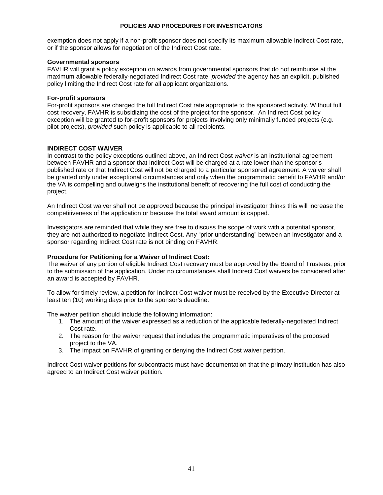exemption does not apply if a non-profit sponsor does not specify its maximum allowable Indirect Cost rate, or if the sponsor allows for negotiation of the Indirect Cost rate.

#### **Governmental sponsors**

FAVHR will grant a policy exception on awards from governmental sponsors that do not reimburse at the maximum allowable federally-negotiated Indirect Cost rate, *provided* the agency has an explicit, published policy limiting the Indirect Cost rate for all applicant organizations.

#### **For-profit sponsors**

For-profit sponsors are charged the full Indirect Cost rate appropriate to the sponsored activity. Without full cost recovery, FAVHR is subsidizing the cost of the project for the sponsor. An Indirect Cost policy exception will be granted to for-profit sponsors for projects involving only minimally funded projects (e.g. pilot projects), *provided* such policy is applicable to all recipients.

#### **INDIRECT COST WAIVER**

In contrast to the policy exceptions outlined above, an Indirect Cost *waiver* is an institutional agreement between FAVHR and a sponsor that Indirect Cost will be charged at a rate lower than the sponsor's published rate or that Indirect Cost will not be charged to a particular sponsored agreement. A waiver shall be granted only under exceptional circumstances and only when the programmatic benefit to FAVHR and/or the VA is compelling and outweighs the institutional benefit of recovering the full cost of conducting the project.

An Indirect Cost waiver shall not be approved because the principal investigator thinks this will increase the competitiveness of the application or because the total award amount is capped.

Investigators are reminded that while they are free to discuss the scope of work with a potential sponsor, they are not authorized to negotiate Indirect Cost. Any "prior understanding" between an investigator and a sponsor regarding Indirect Cost rate is not binding on FAVHR.

#### **Procedure for Petitioning for a Waiver of Indirect Cost:**

The waiver of any portion of eligible Indirect Cost recovery must be approved by the Board of Trustees, prior to the submission of the application. Under no circumstances shall Indirect Cost waivers be considered after an award is accepted by FAVHR.

To allow for timely review, a petition for Indirect Cost waiver must be received by the Executive Director at least ten (10) working days prior to the sponsor's deadline.

The waiver petition should include the following information:

- 1. The amount of the waiver expressed as a reduction of the applicable federally-negotiated Indirect Cost rate.
- 2. The reason for the waiver request that includes the programmatic imperatives of the proposed project to the VA.
- 3. The impact on FAVHR of granting or denying the Indirect Cost waiver petition.

Indirect Cost waiver petitions for subcontracts must have documentation that the primary institution has also agreed to an Indirect Cost waiver petition.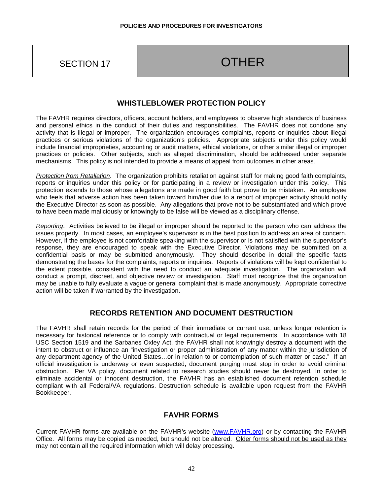## SECTION 17 SECTION 17

## **WHISTLEBLOWER PROTECTION POLICY**

The FAVHR requires directors, officers, account holders, and employees to observe high standards of business and personal ethics in the conduct of their duties and responsibilities. The FAVHR does not condone any activity that is illegal or improper. The organization encourages complaints, reports or inquiries about illegal practices or serious violations of the organization's policies. Appropriate subjects under this policy would include financial improprieties, accounting or audit matters, ethical violations, or other similar illegal or improper practices or policies. Other subjects, such as alleged discrimination, should be addressed under separate mechanisms. This policy is not intended to provide a means of appeal from outcomes in other areas.

*Protection from Retaliation*. The organization prohibits retaliation against staff for making good faith complaints, reports or inquiries under this policy or for participating in a review or investigation under this policy. This protection extends to those whose allegations are made in good faith but prove to be mistaken. An employee who feels that adverse action has been taken toward him/her due to a report of improper activity should notify the Executive Director as soon as possible. Any allegations that prove not to be substantiated and which prove to have been made maliciously or knowingly to be false will be viewed as a disciplinary offense.

*Reporting*. Activities believed to be illegal or improper should be reported to the person who can address the issues properly. In most cases, an employee's supervisor is in the best position to address an area of concern. However, if the employee is not comfortable speaking with the supervisor or is not satisfied with the supervisor's response, they are encouraged to speak with the Executive Director. Violations may be submitted on a confidential basis or may be submitted anonymously. They should describe in detail the specific facts demonstrating the bases for the complaints, reports or inquiries. Reports of violations will be kept confidential to the extent possible, consistent with the need to conduct an adequate investigation. The organization will conduct a prompt, discreet, and objective review or investigation. Staff must recognize that the organization may be unable to fully evaluate a vague or general complaint that is made anonymously. Appropriate corrective action will be taken if warranted by the investigation.

## **RECORDS RETENTION AND DOCUMENT DESTRUCTION**

The FAVHR shall retain records for the period of their immediate or current use, unless longer retention is necessary for historical reference or to comply with contractual or legal requirements. In accordance with 18 USC Section 1519 and the Sarbanes Oxley Act, the FAVHR shall not knowingly destroy a document with the intent to obstruct or influence an "investigation or proper administration of any matter within the jurisdiction of any department agency of the United States…or in relation to or contemplation of such matter or case." If an official investigation is underway or even suspected, document purging must stop in order to avoid criminal obstruction. Per VA policy, document related to research studies should never be destroyed. In order to eliminate accidental or innocent destruction, the FAVHR has an established document retention schedule compliant with all Federal/VA regulations. Destruction schedule is available upon request from the FAVHR Bookkeeper.

## **FAVHR FORMS**

Current FAVHR forms are available on the FAVHR's website [\(www.FAVHR.org\)](http://www.favhr.org/) or by contacting the FAVHR Office. All forms may be copied as needed, but should not be altered. Older forms should not be used as they may not contain all the required information which will delay processing.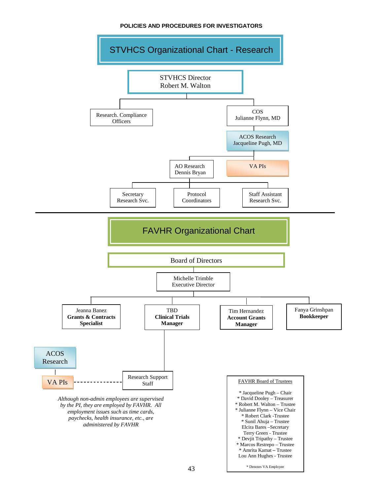